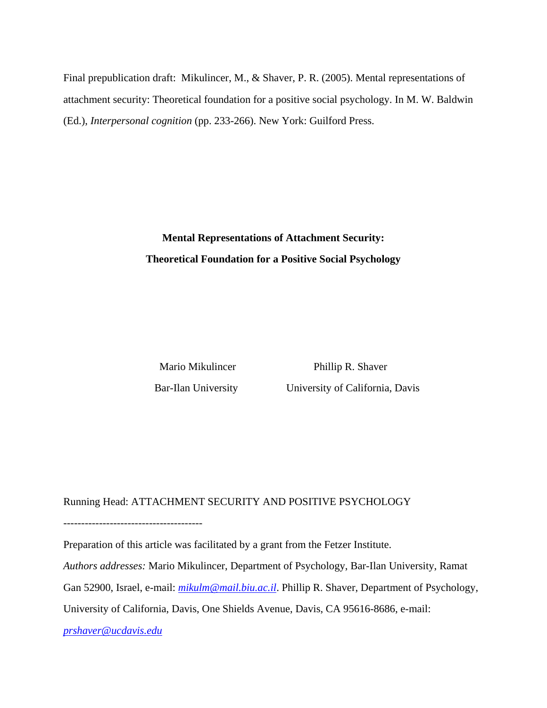Final prepublication draft: Mikulincer, M., & Shaver, P. R. (2005). Mental representations of attachment security: Theoretical foundation for a positive social psychology. In M. W. Baldwin (Ed.), *Interpersonal cognition* (pp. 233-266). New York: Guilford Press.

# **Mental Representations of Attachment Security: Theoretical Foundation for a Positive Social Psychology**

Mario Mikulincer Phillip R. Shaver Bar-Ilan University University of California, Davis

Running Head: ATTACHMENT SECURITY AND POSITIVE PSYCHOLOGY

*---------------------------------------* 

Preparation of this article was facilitated by a grant from the Fetzer Institute.

*Authors addresses:* Mario Mikulincer, Department of Psychology, Bar-Ilan University, Ramat

Gan 52900, Israel, e-mail: *[mikulm@mail.biu.ac.il](mailto:mikulm@mail.biu.ac.il)*. Phillip R. Shaver, Department of Psychology,

University of California, Davis, One Shields Avenue, Davis, CA 95616-8686, e-mail:

*prshaver@ucdavis.edu*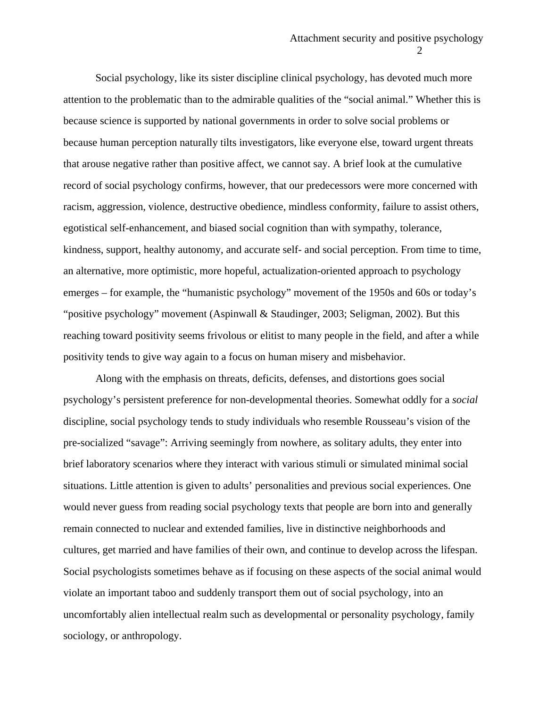Social psychology, like its sister discipline clinical psychology, has devoted much more attention to the problematic than to the admirable qualities of the "social animal." Whether this is because science is supported by national governments in order to solve social problems or because human perception naturally tilts investigators, like everyone else, toward urgent threats that arouse negative rather than positive affect, we cannot say. A brief look at the cumulative record of social psychology confirms, however, that our predecessors were more concerned with racism, aggression, violence, destructive obedience, mindless conformity, failure to assist others, egotistical self-enhancement, and biased social cognition than with sympathy, tolerance, kindness, support, healthy autonomy, and accurate self- and social perception. From time to time, an alternative, more optimistic, more hopeful, actualization-oriented approach to psychology emerges – for example, the "humanistic psychology" movement of the 1950s and 60s or today's "positive psychology" movement (Aspinwall & Staudinger, 2003; Seligman, 2002). But this reaching toward positivity seems frivolous or elitist to many people in the field, and after a while positivity tends to give way again to a focus on human misery and misbehavior.

Along with the emphasis on threats, deficits, defenses, and distortions goes social psychology's persistent preference for non-developmental theories. Somewhat oddly for a *social* discipline, social psychology tends to study individuals who resemble Rousseau's vision of the pre-socialized "savage": Arriving seemingly from nowhere, as solitary adults, they enter into brief laboratory scenarios where they interact with various stimuli or simulated minimal social situations. Little attention is given to adults' personalities and previous social experiences. One would never guess from reading social psychology texts that people are born into and generally remain connected to nuclear and extended families, live in distinctive neighborhoods and cultures, get married and have families of their own, and continue to develop across the lifespan. Social psychologists sometimes behave as if focusing on these aspects of the social animal would violate an important taboo and suddenly transport them out of social psychology, into an uncomfortably alien intellectual realm such as developmental or personality psychology, family sociology, or anthropology.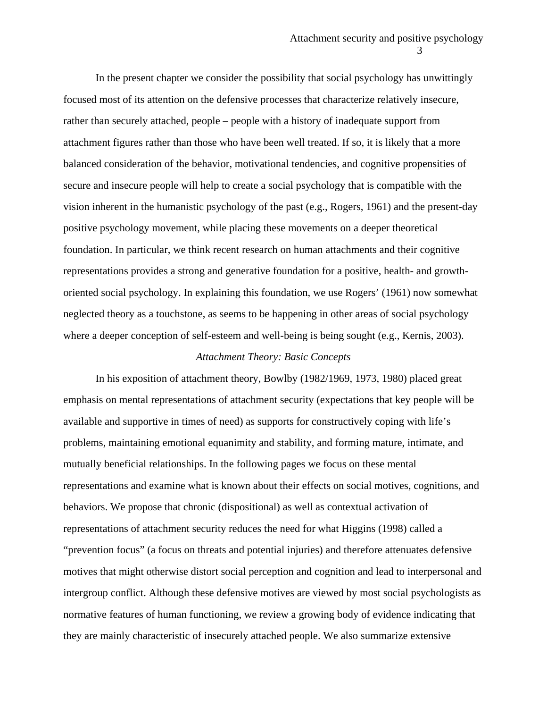In the present chapter we consider the possibility that social psychology has unwittingly focused most of its attention on the defensive processes that characterize relatively insecure, rather than securely attached, people – people with a history of inadequate support from attachment figures rather than those who have been well treated. If so, it is likely that a more balanced consideration of the behavior, motivational tendencies, and cognitive propensities of secure and insecure people will help to create a social psychology that is compatible with the vision inherent in the humanistic psychology of the past (e.g., Rogers, 1961) and the present-day positive psychology movement, while placing these movements on a deeper theoretical foundation. In particular, we think recent research on human attachments and their cognitive representations provides a strong and generative foundation for a positive, health- and growthoriented social psychology. In explaining this foundation, we use Rogers' (1961) now somewhat neglected theory as a touchstone, as seems to be happening in other areas of social psychology where a deeper conception of self-esteem and well-being is being sought (e.g., Kernis, 2003).

### *Attachment Theory: Basic Concepts*

In his exposition of attachment theory, Bowlby (1982/1969, 1973, 1980) placed great emphasis on mental representations of attachment security (expectations that key people will be available and supportive in times of need) as supports for constructively coping with life's problems, maintaining emotional equanimity and stability, and forming mature, intimate, and mutually beneficial relationships. In the following pages we focus on these mental representations and examine what is known about their effects on social motives, cognitions, and behaviors. We propose that chronic (dispositional) as well as contextual activation of representations of attachment security reduces the need for what Higgins (1998) called a "prevention focus" (a focus on threats and potential injuries) and therefore attenuates defensive motives that might otherwise distort social perception and cognition and lead to interpersonal and intergroup conflict. Although these defensive motives are viewed by most social psychologists as normative features of human functioning, we review a growing body of evidence indicating that they are mainly characteristic of insecurely attached people. We also summarize extensive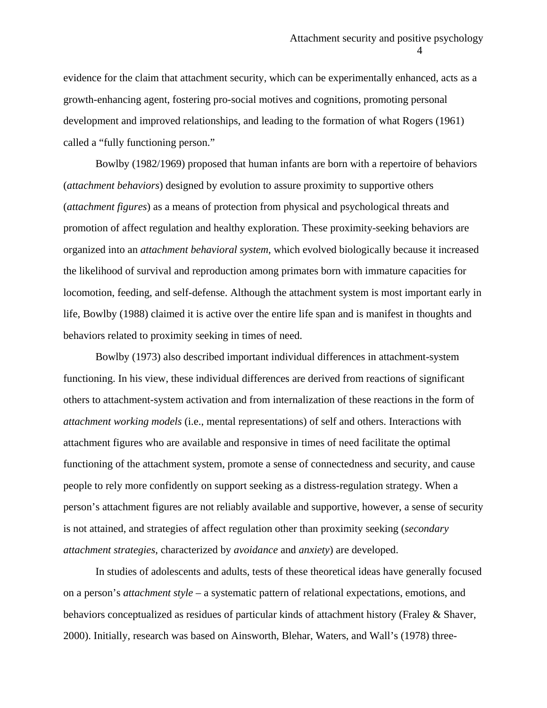evidence for the claim that attachment security, which can be experimentally enhanced, acts as a growth-enhancing agent, fostering pro-social motives and cognitions, promoting personal development and improved relationships, and leading to the formation of what Rogers (1961) called a "fully functioning person."

Bowlby (1982/1969) proposed that human infants are born with a repertoire of behaviors (*attachment behaviors*) designed by evolution to assure proximity to supportive others (*attachment figures*) as a means of protection from physical and psychological threats and promotion of affect regulation and healthy exploration. These proximity-seeking behaviors are organized into an *attachment behavioral system*, which evolved biologically because it increased the likelihood of survival and reproduction among primates born with immature capacities for locomotion, feeding, and self-defense. Although the attachment system is most important early in life, Bowlby (1988) claimed it is active over the entire life span and is manifest in thoughts and behaviors related to proximity seeking in times of need.

Bowlby (1973) also described important individual differences in attachment-system functioning. In his view, these individual differences are derived from reactions of significant others to attachment-system activation and from internalization of these reactions in the form of *attachment working models* (i.e., mental representations) of self and others. Interactions with attachment figures who are available and responsive in times of need facilitate the optimal functioning of the attachment system, promote a sense of connectedness and security, and cause people to rely more confidently on support seeking as a distress-regulation strategy. When a person's attachment figures are not reliably available and supportive, however, a sense of security is not attained, and strategies of affect regulation other than proximity seeking (*secondary attachment strategies*, characterized by *avoidance* and *anxiety*) are developed.

In studies of adolescents and adults, tests of these theoretical ideas have generally focused on a person's *attachment style* – a systematic pattern of relational expectations, emotions, and behaviors conceptualized as residues of particular kinds of attachment history (Fraley & Shaver, 2000). Initially, research was based on Ainsworth, Blehar, Waters, and Wall's (1978) three-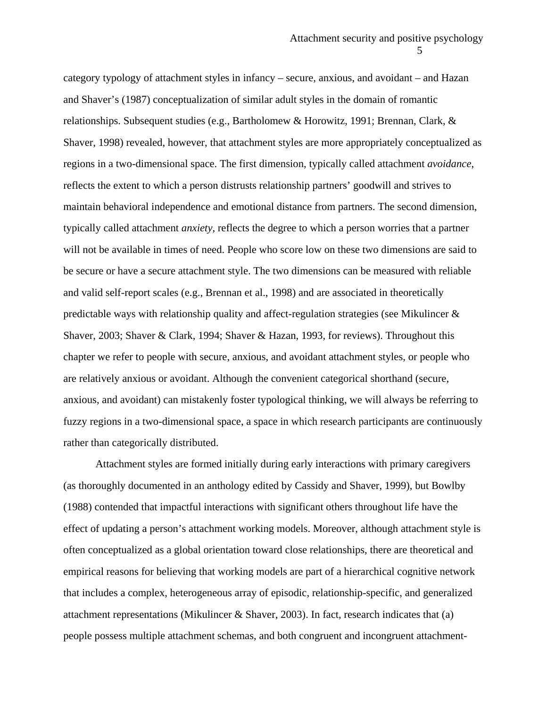category typology of attachment styles in infancy – secure, anxious, and avoidant – and Hazan and Shaver's (1987) conceptualization of similar adult styles in the domain of romantic relationships. Subsequent studies (e.g., Bartholomew & Horowitz, 1991; Brennan, Clark, & Shaver, 1998) revealed, however, that attachment styles are more appropriately conceptualized as regions in a two-dimensional space. The first dimension, typically called attachment *avoidance*, reflects the extent to which a person distrusts relationship partners' goodwill and strives to maintain behavioral independence and emotional distance from partners. The second dimension, typically called attachment *anxiety*, reflects the degree to which a person worries that a partner will not be available in times of need. People who score low on these two dimensions are said to be secure or have a secure attachment style. The two dimensions can be measured with reliable and valid self-report scales (e.g., Brennan et al., 1998) and are associated in theoretically predictable ways with relationship quality and affect-regulation strategies (see Mikulincer & Shaver, 2003; Shaver & Clark, 1994; Shaver & Hazan, 1993, for reviews). Throughout this chapter we refer to people with secure, anxious, and avoidant attachment styles, or people who are relatively anxious or avoidant. Although the convenient categorical shorthand (secure, anxious, and avoidant) can mistakenly foster typological thinking, we will always be referring to fuzzy regions in a two-dimensional space, a space in which research participants are continuously rather than categorically distributed.

Attachment styles are formed initially during early interactions with primary caregivers (as thoroughly documented in an anthology edited by Cassidy and Shaver, 1999), but Bowlby (1988) contended that impactful interactions with significant others throughout life have the effect of updating a person's attachment working models. Moreover, although attachment style is often conceptualized as a global orientation toward close relationships, there are theoretical and empirical reasons for believing that working models are part of a hierarchical cognitive network that includes a complex, heterogeneous array of episodic, relationship-specific, and generalized attachment representations (Mikulincer & Shaver, 2003). In fact, research indicates that (a) people possess multiple attachment schemas, and both congruent and incongruent attachment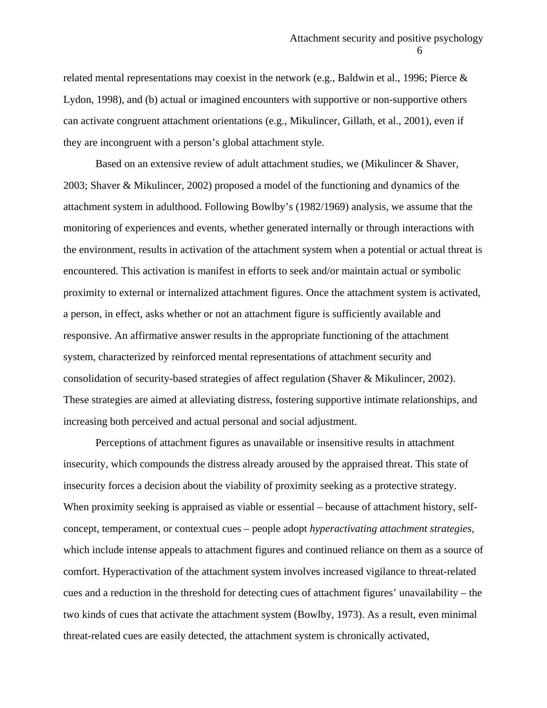related mental representations may coexist in the network (e.g., Baldwin et al., 1996; Pierce & Lydon, 1998), and (b) actual or imagined encounters with supportive or non-supportive others can activate congruent attachment orientations (e.g., Mikulincer, Gillath, et al., 2001), even if they are incongruent with a person's global attachment style.

Based on an extensive review of adult attachment studies, we (Mikulincer & Shaver, 2003; Shaver & Mikulincer, 2002) proposed a model of the functioning and dynamics of the attachment system in adulthood. Following Bowlby's (1982/1969) analysis, we assume that the monitoring of experiences and events, whether generated internally or through interactions with the environment, results in activation of the attachment system when a potential or actual threat is encountered. This activation is manifest in efforts to seek and/or maintain actual or symbolic proximity to external or internalized attachment figures. Once the attachment system is activated, a person, in effect, asks whether or not an attachment figure is sufficiently available and responsive. An affirmative answer results in the appropriate functioning of the attachment system, characterized by reinforced mental representations of attachment security and consolidation of security-based strategies of affect regulation (Shaver & Mikulincer, 2002). These strategies are aimed at alleviating distress, fostering supportive intimate relationships, and increasing both perceived and actual personal and social adjustment.

Perceptions of attachment figures as unavailable or insensitive results in attachment insecurity, which compounds the distress already aroused by the appraised threat. This state of insecurity forces a decision about the viability of proximity seeking as a protective strategy. When proximity seeking is appraised as viable or essential – because of attachment history, selfconcept, temperament, or contextual cues – people adopt *hyperactivating attachment strategies*, which include intense appeals to attachment figures and continued reliance on them as a source of comfort. Hyperactivation of the attachment system involves increased vigilance to threat-related cues and a reduction in the threshold for detecting cues of attachment figures' unavailability – the two kinds of cues that activate the attachment system (Bowlby, 1973). As a result, even minimal threat-related cues are easily detected, the attachment system is chronically activated,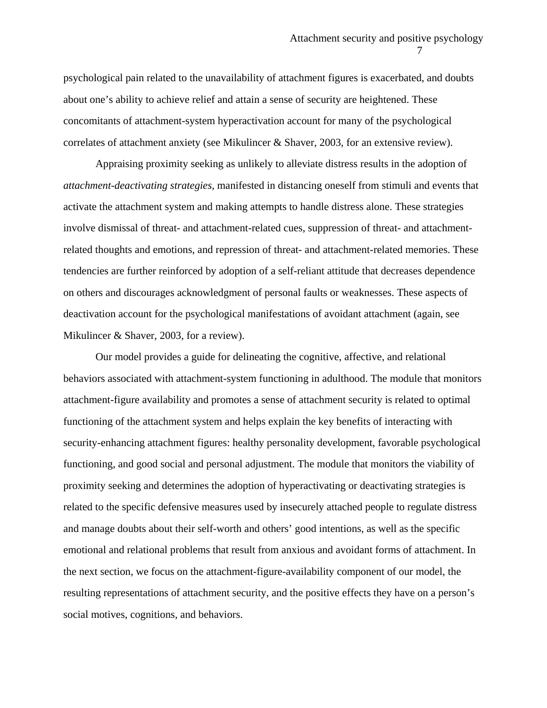psychological pain related to the unavailability of attachment figures is exacerbated, and doubts about one's ability to achieve relief and attain a sense of security are heightened. These concomitants of attachment-system hyperactivation account for many of the psychological correlates of attachment anxiety (see Mikulincer & Shaver, 2003, for an extensive review).

Appraising proximity seeking as unlikely to alleviate distress results in the adoption of *attachment-deactivating strategies*, manifested in distancing oneself from stimuli and events that activate the attachment system and making attempts to handle distress alone. These strategies involve dismissal of threat- and attachment-related cues, suppression of threat- and attachmentrelated thoughts and emotions, and repression of threat- and attachment-related memories. These tendencies are further reinforced by adoption of a self-reliant attitude that decreases dependence on others and discourages acknowledgment of personal faults or weaknesses. These aspects of deactivation account for the psychological manifestations of avoidant attachment (again, see Mikulincer & Shaver, 2003, for a review).

Our model provides a guide for delineating the cognitive, affective, and relational behaviors associated with attachment-system functioning in adulthood. The module that monitors attachment-figure availability and promotes a sense of attachment security is related to optimal functioning of the attachment system and helps explain the key benefits of interacting with security-enhancing attachment figures: healthy personality development, favorable psychological functioning, and good social and personal adjustment. The module that monitors the viability of proximity seeking and determines the adoption of hyperactivating or deactivating strategies is related to the specific defensive measures used by insecurely attached people to regulate distress and manage doubts about their self-worth and others' good intentions, as well as the specific emotional and relational problems that result from anxious and avoidant forms of attachment. In the next section, we focus on the attachment-figure-availability component of our model, the resulting representations of attachment security, and the positive effects they have on a person's social motives, cognitions, and behaviors.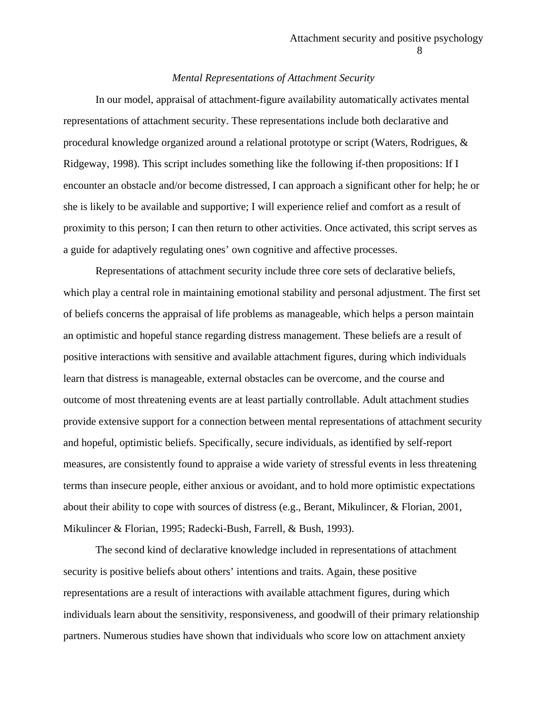### *Mental Representations of Attachment Security*

In our model, appraisal of attachment-figure availability automatically activates mental representations of attachment security. These representations include both declarative and procedural knowledge organized around a relational prototype or script (Waters, Rodrigues, & Ridgeway, 1998). This script includes something like the following if-then propositions: If I encounter an obstacle and/or become distressed, I can approach a significant other for help; he or she is likely to be available and supportive; I will experience relief and comfort as a result of proximity to this person; I can then return to other activities. Once activated, this script serves as a guide for adaptively regulating ones' own cognitive and affective processes.

Representations of attachment security include three core sets of declarative beliefs, which play a central role in maintaining emotional stability and personal adjustment. The first set of beliefs concerns the appraisal of life problems as manageable, which helps a person maintain an optimistic and hopeful stance regarding distress management. These beliefs are a result of positive interactions with sensitive and available attachment figures, during which individuals learn that distress is manageable, external obstacles can be overcome, and the course and outcome of most threatening events are at least partially controllable. Adult attachment studies provide extensive support for a connection between mental representations of attachment security and hopeful, optimistic beliefs. Specifically, secure individuals, as identified by self-report measures, are consistently found to appraise a wide variety of stressful events in less threatening terms than insecure people, either anxious or avoidant, and to hold more optimistic expectations about their ability to cope with sources of distress (e.g., Berant, Mikulincer, & Florian, 2001, Mikulincer & Florian, 1995; Radecki-Bush, Farrell, & Bush, 1993).

The second kind of declarative knowledge included in representations of attachment security is positive beliefs about others' intentions and traits. Again, these positive representations are a result of interactions with available attachment figures, during which individuals learn about the sensitivity, responsiveness, and goodwill of their primary relationship partners. Numerous studies have shown that individuals who score low on attachment anxiety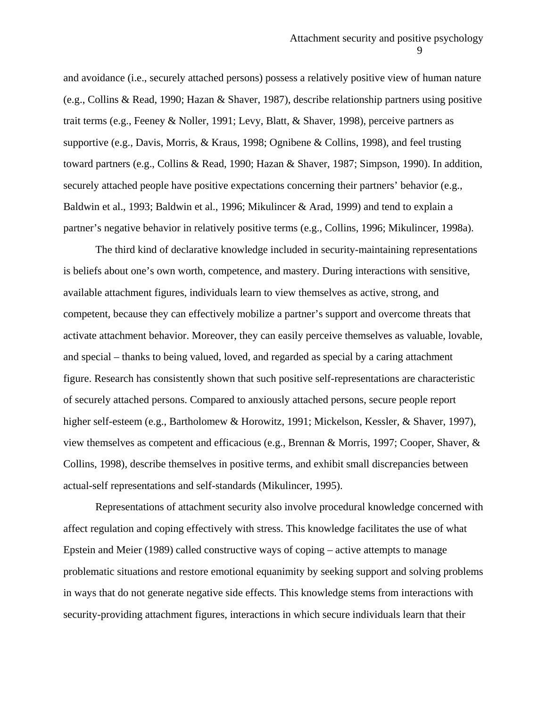and avoidance (i.e., securely attached persons) possess a relatively positive view of human nature (e.g., Collins & Read, 1990; Hazan & Shaver, 1987), describe relationship partners using positive trait terms (e.g., Feeney & Noller, 1991; Levy, Blatt, & Shaver, 1998), perceive partners as supportive (e.g., Davis, Morris, & Kraus, 1998; Ognibene & Collins, 1998), and feel trusting toward partners (e.g., Collins & Read, 1990; Hazan & Shaver, 1987; Simpson, 1990). In addition, securely attached people have positive expectations concerning their partners' behavior (e.g., Baldwin et al., 1993; Baldwin et al., 1996; Mikulincer & Arad, 1999) and tend to explain a partner's negative behavior in relatively positive terms (e.g., Collins, 1996; Mikulincer, 1998a).

The third kind of declarative knowledge included in security-maintaining representations is beliefs about one's own worth, competence, and mastery. During interactions with sensitive, available attachment figures, individuals learn to view themselves as active, strong, and competent, because they can effectively mobilize a partner's support and overcome threats that activate attachment behavior. Moreover, they can easily perceive themselves as valuable, lovable, and special – thanks to being valued, loved, and regarded as special by a caring attachment figure. Research has consistently shown that such positive self-representations are characteristic of securely attached persons. Compared to anxiously attached persons, secure people report higher self-esteem (e.g., Bartholomew & Horowitz, 1991; Mickelson, Kessler, & Shaver, 1997), view themselves as competent and efficacious (e.g., Brennan & Morris, 1997; Cooper, Shaver, & Collins, 1998), describe themselves in positive terms, and exhibit small discrepancies between actual-self representations and self-standards (Mikulincer, 1995).

Representations of attachment security also involve procedural knowledge concerned with affect regulation and coping effectively with stress. This knowledge facilitates the use of what Epstein and Meier (1989) called constructive ways of coping – active attempts to manage problematic situations and restore emotional equanimity by seeking support and solving problems in ways that do not generate negative side effects. This knowledge stems from interactions with security-providing attachment figures, interactions in which secure individuals learn that their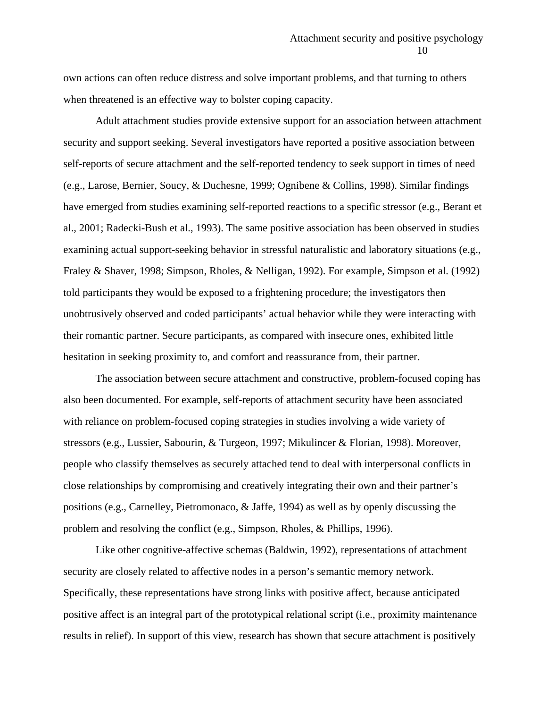own actions can often reduce distress and solve important problems, and that turning to others when threatened is an effective way to bolster coping capacity.

Adult attachment studies provide extensive support for an association between attachment security and support seeking. Several investigators have reported a positive association between self-reports of secure attachment and the self-reported tendency to seek support in times of need (e.g., Larose, Bernier, Soucy, & Duchesne, 1999; Ognibene & Collins, 1998). Similar findings have emerged from studies examining self-reported reactions to a specific stressor (e.g., Berant et al., 2001; Radecki-Bush et al., 1993). The same positive association has been observed in studies examining actual support-seeking behavior in stressful naturalistic and laboratory situations (e.g., Fraley & Shaver, 1998; Simpson, Rholes, & Nelligan, 1992). For example, Simpson et al. (1992) told participants they would be exposed to a frightening procedure; the investigators then unobtrusively observed and coded participants' actual behavior while they were interacting with their romantic partner. Secure participants, as compared with insecure ones, exhibited little hesitation in seeking proximity to, and comfort and reassurance from, their partner.

The association between secure attachment and constructive, problem-focused coping has also been documented. For example, self-reports of attachment security have been associated with reliance on problem-focused coping strategies in studies involving a wide variety of stressors (e.g., Lussier, Sabourin, & Turgeon, 1997; Mikulincer & Florian, 1998). Moreover, people who classify themselves as securely attached tend to deal with interpersonal conflicts in close relationships by compromising and creatively integrating their own and their partner's positions (e.g., Carnelley, Pietromonaco, & Jaffe, 1994) as well as by openly discussing the problem and resolving the conflict (e.g., Simpson, Rholes, & Phillips, 1996).

Like other cognitive-affective schemas (Baldwin, 1992), representations of attachment security are closely related to affective nodes in a person's semantic memory network. Specifically, these representations have strong links with positive affect, because anticipated positive affect is an integral part of the prototypical relational script (i.e., proximity maintenance results in relief). In support of this view, research has shown that secure attachment is positively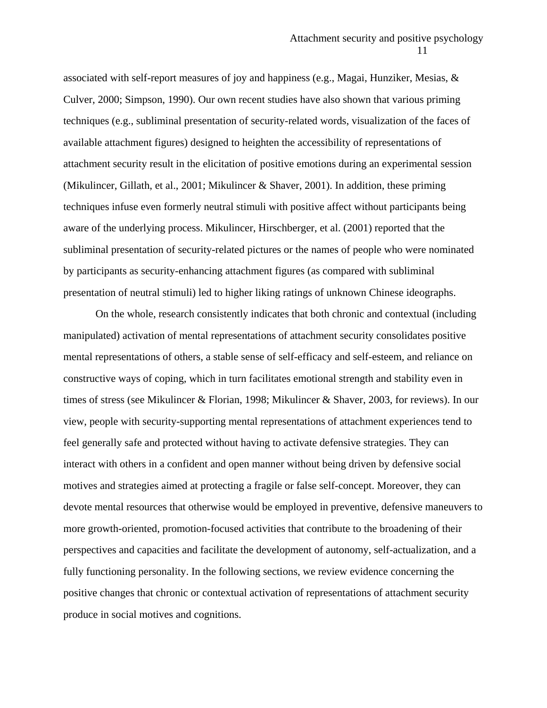associated with self-report measures of joy and happiness (e.g., Magai, Hunziker, Mesias, & Culver, 2000; Simpson, 1990). Our own recent studies have also shown that various priming techniques (e.g., subliminal presentation of security-related words, visualization of the faces of available attachment figures) designed to heighten the accessibility of representations of attachment security result in the elicitation of positive emotions during an experimental session (Mikulincer, Gillath, et al., 2001; Mikulincer & Shaver, 2001). In addition, these priming techniques infuse even formerly neutral stimuli with positive affect without participants being aware of the underlying process. Mikulincer, Hirschberger, et al. (2001) reported that the subliminal presentation of security-related pictures or the names of people who were nominated by participants as security-enhancing attachment figures (as compared with subliminal presentation of neutral stimuli) led to higher liking ratings of unknown Chinese ideographs.

On the whole, research consistently indicates that both chronic and contextual (including manipulated) activation of mental representations of attachment security consolidates positive mental representations of others, a stable sense of self-efficacy and self-esteem, and reliance on constructive ways of coping, which in turn facilitates emotional strength and stability even in times of stress (see Mikulincer & Florian, 1998; Mikulincer & Shaver, 2003, for reviews). In our view, people with security-supporting mental representations of attachment experiences tend to feel generally safe and protected without having to activate defensive strategies. They can interact with others in a confident and open manner without being driven by defensive social motives and strategies aimed at protecting a fragile or false self-concept. Moreover, they can devote mental resources that otherwise would be employed in preventive, defensive maneuvers to more growth-oriented, promotion-focused activities that contribute to the broadening of their perspectives and capacities and facilitate the development of autonomy, self-actualization, and a fully functioning personality. In the following sections, we review evidence concerning the positive changes that chronic or contextual activation of representations of attachment security produce in social motives and cognitions.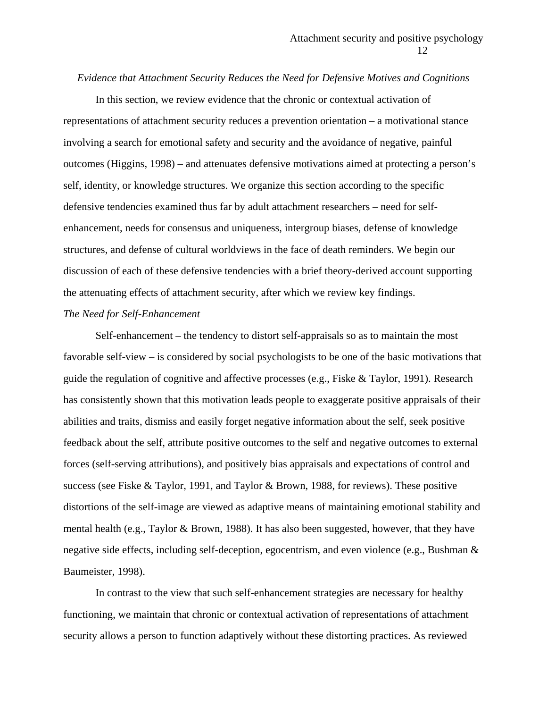#### *Evidence that Attachment Security Reduces the Need for Defensive Motives and Cognitions*

In this section, we review evidence that the chronic or contextual activation of representations of attachment security reduces a prevention orientation – a motivational stance involving a search for emotional safety and security and the avoidance of negative, painful outcomes (Higgins, 1998) – and attenuates defensive motivations aimed at protecting a person's self, identity, or knowledge structures. We organize this section according to the specific defensive tendencies examined thus far by adult attachment researchers – need for selfenhancement, needs for consensus and uniqueness, intergroup biases, defense of knowledge structures, and defense of cultural worldviews in the face of death reminders. We begin our discussion of each of these defensive tendencies with a brief theory-derived account supporting the attenuating effects of attachment security, after which we review key findings.

# *The Need for Self-Enhancement*

Self-enhancement – the tendency to distort self-appraisals so as to maintain the most favorable self-view – is considered by social psychologists to be one of the basic motivations that guide the regulation of cognitive and affective processes (e.g., Fiske & Taylor, 1991). Research has consistently shown that this motivation leads people to exaggerate positive appraisals of their abilities and traits, dismiss and easily forget negative information about the self, seek positive feedback about the self, attribute positive outcomes to the self and negative outcomes to external forces (self-serving attributions), and positively bias appraisals and expectations of control and success (see Fiske & Taylor, 1991, and Taylor & Brown, 1988, for reviews). These positive distortions of the self-image are viewed as adaptive means of maintaining emotional stability and mental health (e.g., Taylor & Brown, 1988). It has also been suggested, however, that they have negative side effects, including self-deception, egocentrism, and even violence (e.g., Bushman & Baumeister, 1998).

In contrast to the view that such self-enhancement strategies are necessary for healthy functioning, we maintain that chronic or contextual activation of representations of attachment security allows a person to function adaptively without these distorting practices. As reviewed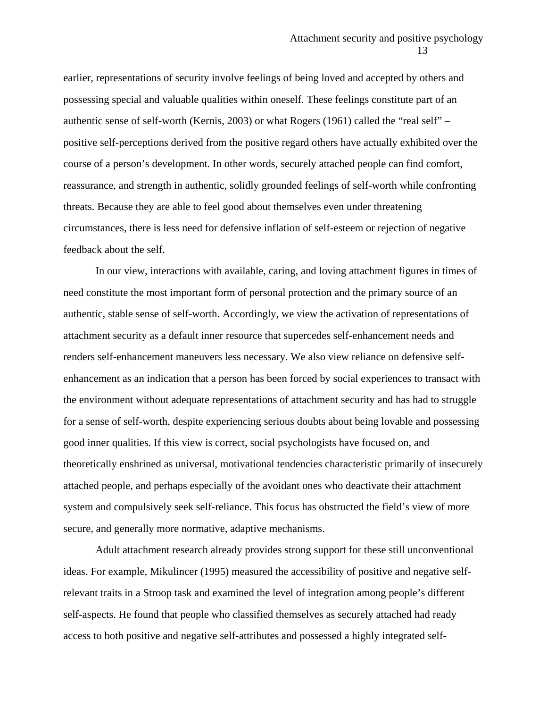earlier, representations of security involve feelings of being loved and accepted by others and possessing special and valuable qualities within oneself. These feelings constitute part of an authentic sense of self-worth (Kernis, 2003) or what Rogers (1961) called the "real self" – positive self-perceptions derived from the positive regard others have actually exhibited over the course of a person's development. In other words, securely attached people can find comfort, reassurance, and strength in authentic, solidly grounded feelings of self-worth while confronting threats. Because they are able to feel good about themselves even under threatening circumstances, there is less need for defensive inflation of self-esteem or rejection of negative feedback about the self.

In our view, interactions with available, caring, and loving attachment figures in times of need constitute the most important form of personal protection and the primary source of an authentic, stable sense of self-worth. Accordingly, we view the activation of representations of attachment security as a default inner resource that supercedes self-enhancement needs and renders self-enhancement maneuvers less necessary. We also view reliance on defensive selfenhancement as an indication that a person has been forced by social experiences to transact with the environment without adequate representations of attachment security and has had to struggle for a sense of self-worth, despite experiencing serious doubts about being lovable and possessing good inner qualities. If this view is correct, social psychologists have focused on, and theoretically enshrined as universal, motivational tendencies characteristic primarily of insecurely attached people, and perhaps especially of the avoidant ones who deactivate their attachment system and compulsively seek self-reliance. This focus has obstructed the field's view of more secure, and generally more normative, adaptive mechanisms.

Adult attachment research already provides strong support for these still unconventional ideas. For example, Mikulincer (1995) measured the accessibility of positive and negative selfrelevant traits in a Stroop task and examined the level of integration among people's different self-aspects. He found that people who classified themselves as securely attached had ready access to both positive and negative self-attributes and possessed a highly integrated self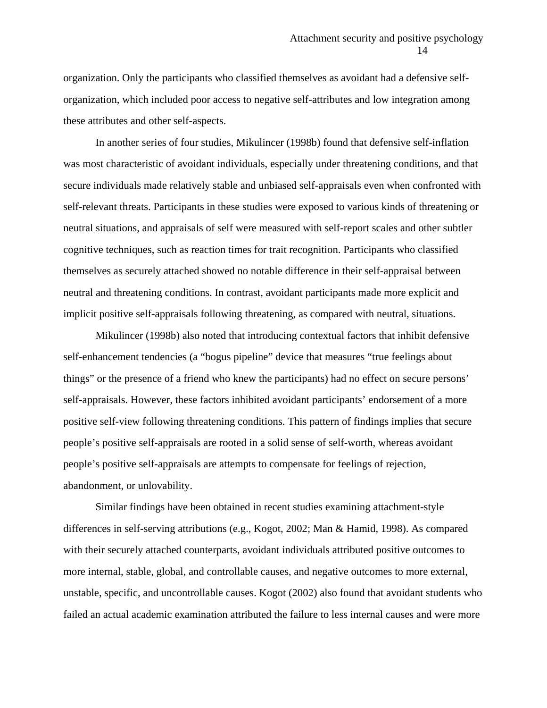organization. Only the participants who classified themselves as avoidant had a defensive selforganization, which included poor access to negative self-attributes and low integration among these attributes and other self-aspects.

In another series of four studies, Mikulincer (1998b) found that defensive self-inflation was most characteristic of avoidant individuals, especially under threatening conditions, and that secure individuals made relatively stable and unbiased self-appraisals even when confronted with self-relevant threats. Participants in these studies were exposed to various kinds of threatening or neutral situations, and appraisals of self were measured with self-report scales and other subtler cognitive techniques, such as reaction times for trait recognition. Participants who classified themselves as securely attached showed no notable difference in their self-appraisal between neutral and threatening conditions. In contrast, avoidant participants made more explicit and implicit positive self-appraisals following threatening, as compared with neutral, situations.

Mikulincer (1998b) also noted that introducing contextual factors that inhibit defensive self-enhancement tendencies (a "bogus pipeline" device that measures "true feelings about things" or the presence of a friend who knew the participants) had no effect on secure persons' self-appraisals. However, these factors inhibited avoidant participants' endorsement of a more positive self-view following threatening conditions. This pattern of findings implies that secure people's positive self-appraisals are rooted in a solid sense of self-worth, whereas avoidant people's positive self-appraisals are attempts to compensate for feelings of rejection, abandonment, or unlovability.

Similar findings have been obtained in recent studies examining attachment-style differences in self-serving attributions (e.g., Kogot, 2002; Man & Hamid, 1998). As compared with their securely attached counterparts, avoidant individuals attributed positive outcomes to more internal, stable, global, and controllable causes, and negative outcomes to more external, unstable, specific, and uncontrollable causes. Kogot (2002) also found that avoidant students who failed an actual academic examination attributed the failure to less internal causes and were more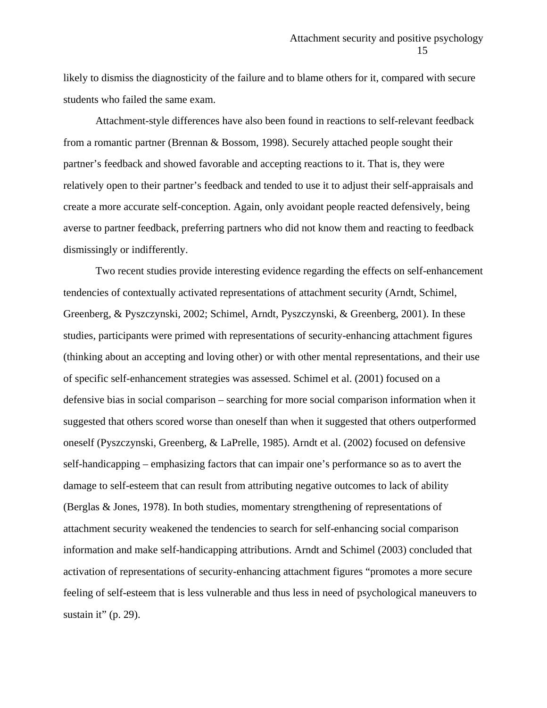likely to dismiss the diagnosticity of the failure and to blame others for it, compared with secure students who failed the same exam.

Attachment-style differences have also been found in reactions to self-relevant feedback from a romantic partner (Brennan & Bossom, 1998). Securely attached people sought their partner's feedback and showed favorable and accepting reactions to it. That is, they were relatively open to their partner's feedback and tended to use it to adjust their self-appraisals and create a more accurate self-conception. Again, only avoidant people reacted defensively, being averse to partner feedback, preferring partners who did not know them and reacting to feedback dismissingly or indifferently.

Two recent studies provide interesting evidence regarding the effects on self-enhancement tendencies of contextually activated representations of attachment security (Arndt, Schimel, Greenberg, & Pyszczynski, 2002; Schimel, Arndt, Pyszczynski, & Greenberg, 2001). In these studies, participants were primed with representations of security-enhancing attachment figures (thinking about an accepting and loving other) or with other mental representations, and their use of specific self-enhancement strategies was assessed. Schimel et al. (2001) focused on a defensive bias in social comparison – searching for more social comparison information when it suggested that others scored worse than oneself than when it suggested that others outperformed oneself (Pyszczynski, Greenberg, & LaPrelle, 1985). Arndt et al. (2002) focused on defensive self-handicapping – emphasizing factors that can impair one's performance so as to avert the damage to self-esteem that can result from attributing negative outcomes to lack of ability (Berglas & Jones, 1978). In both studies, momentary strengthening of representations of attachment security weakened the tendencies to search for self-enhancing social comparison information and make self-handicapping attributions. Arndt and Schimel (2003) concluded that activation of representations of security-enhancing attachment figures "promotes a more secure feeling of self-esteem that is less vulnerable and thus less in need of psychological maneuvers to sustain it"  $(p. 29)$ .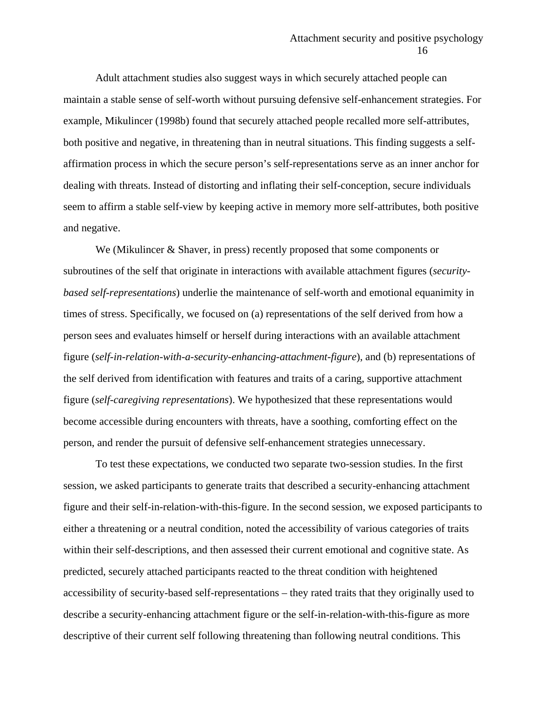Adult attachment studies also suggest ways in which securely attached people can maintain a stable sense of self-worth without pursuing defensive self-enhancement strategies. For example, Mikulincer (1998b) found that securely attached people recalled more self-attributes, both positive and negative, in threatening than in neutral situations. This finding suggests a selfaffirmation process in which the secure person's self-representations serve as an inner anchor for dealing with threats. Instead of distorting and inflating their self-conception, secure individuals seem to affirm a stable self-view by keeping active in memory more self-attributes, both positive and negative.

We (Mikulincer & Shaver, in press) recently proposed that some components or subroutines of the self that originate in interactions with available attachment figures (*securitybased self-representations*) underlie the maintenance of self-worth and emotional equanimity in times of stress. Specifically, we focused on (a) representations of the self derived from how a person sees and evaluates himself or herself during interactions with an available attachment figure (*self-in-relation-with-a-security-enhancing-attachment-figure*), and (b) representations of the self derived from identification with features and traits of a caring, supportive attachment figure (*self-caregiving representations*). We hypothesized that these representations would become accessible during encounters with threats, have a soothing, comforting effect on the person, and render the pursuit of defensive self-enhancement strategies unnecessary.

To test these expectations, we conducted two separate two-session studies. In the first session, we asked participants to generate traits that described a security-enhancing attachment figure and their self-in-relation-with-this-figure. In the second session, we exposed participants to either a threatening or a neutral condition, noted the accessibility of various categories of traits within their self-descriptions, and then assessed their current emotional and cognitive state. As predicted, securely attached participants reacted to the threat condition with heightened accessibility of security-based self-representations – they rated traits that they originally used to describe a security-enhancing attachment figure or the self-in-relation-with-this-figure as more descriptive of their current self following threatening than following neutral conditions. This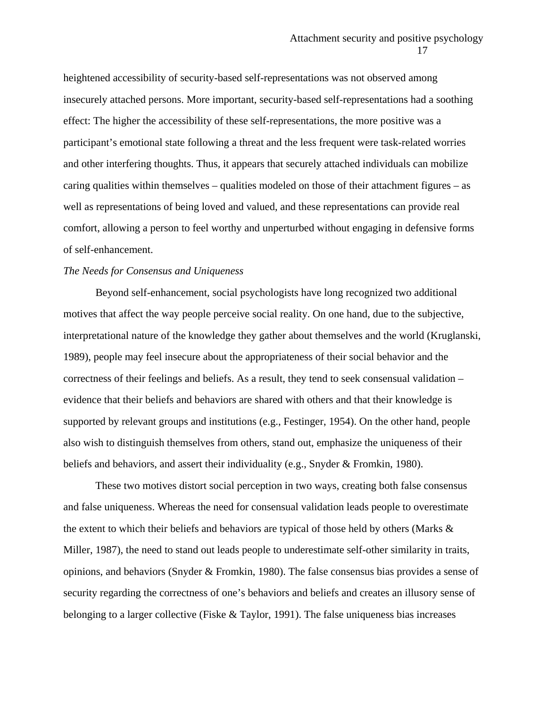heightened accessibility of security-based self-representations was not observed among insecurely attached persons. More important, security-based self-representations had a soothing effect: The higher the accessibility of these self-representations, the more positive was a participant's emotional state following a threat and the less frequent were task-related worries and other interfering thoughts. Thus, it appears that securely attached individuals can mobilize caring qualities within themselves – qualities modeled on those of their attachment figures – as well as representations of being loved and valued, and these representations can provide real comfort, allowing a person to feel worthy and unperturbed without engaging in defensive forms of self-enhancement.

#### *The Needs for Consensus and Uniqueness*

Beyond self-enhancement, social psychologists have long recognized two additional motives that affect the way people perceive social reality. On one hand, due to the subjective, interpretational nature of the knowledge they gather about themselves and the world (Kruglanski, 1989), people may feel insecure about the appropriateness of their social behavior and the correctness of their feelings and beliefs. As a result, they tend to seek consensual validation – evidence that their beliefs and behaviors are shared with others and that their knowledge is supported by relevant groups and institutions (e.g., Festinger, 1954). On the other hand, people also wish to distinguish themselves from others, stand out, emphasize the uniqueness of their beliefs and behaviors, and assert their individuality (e.g., Snyder & Fromkin, 1980).

These two motives distort social perception in two ways, creating both false consensus and false uniqueness. Whereas the need for consensual validation leads people to overestimate the extent to which their beliefs and behaviors are typical of those held by others (Marks & Miller, 1987), the need to stand out leads people to underestimate self-other similarity in traits, opinions, and behaviors (Snyder & Fromkin, 1980). The false consensus bias provides a sense of security regarding the correctness of one's behaviors and beliefs and creates an illusory sense of belonging to a larger collective (Fiske & Taylor, 1991). The false uniqueness bias increases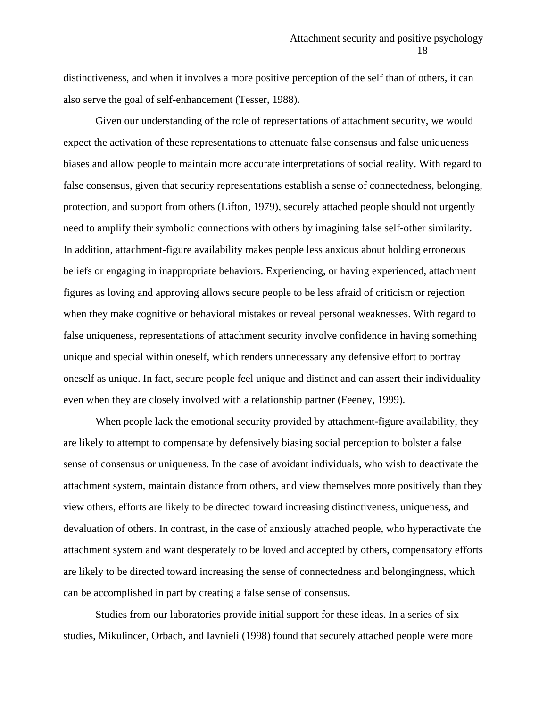distinctiveness, and when it involves a more positive perception of the self than of others, it can also serve the goal of self-enhancement (Tesser, 1988).

Given our understanding of the role of representations of attachment security, we would expect the activation of these representations to attenuate false consensus and false uniqueness biases and allow people to maintain more accurate interpretations of social reality. With regard to false consensus, given that security representations establish a sense of connectedness, belonging, protection, and support from others (Lifton, 1979), securely attached people should not urgently need to amplify their symbolic connections with others by imagining false self-other similarity. In addition, attachment-figure availability makes people less anxious about holding erroneous beliefs or engaging in inappropriate behaviors. Experiencing, or having experienced, attachment figures as loving and approving allows secure people to be less afraid of criticism or rejection when they make cognitive or behavioral mistakes or reveal personal weaknesses. With regard to false uniqueness, representations of attachment security involve confidence in having something unique and special within oneself, which renders unnecessary any defensive effort to portray oneself as unique. In fact, secure people feel unique and distinct and can assert their individuality even when they are closely involved with a relationship partner (Feeney, 1999).

When people lack the emotional security provided by attachment-figure availability, they are likely to attempt to compensate by defensively biasing social perception to bolster a false sense of consensus or uniqueness. In the case of avoidant individuals, who wish to deactivate the attachment system, maintain distance from others, and view themselves more positively than they view others, efforts are likely to be directed toward increasing distinctiveness, uniqueness, and devaluation of others. In contrast, in the case of anxiously attached people, who hyperactivate the attachment system and want desperately to be loved and accepted by others, compensatory efforts are likely to be directed toward increasing the sense of connectedness and belongingness, which can be accomplished in part by creating a false sense of consensus.

Studies from our laboratories provide initial support for these ideas. In a series of six studies, Mikulincer, Orbach, and Iavnieli (1998) found that securely attached people were more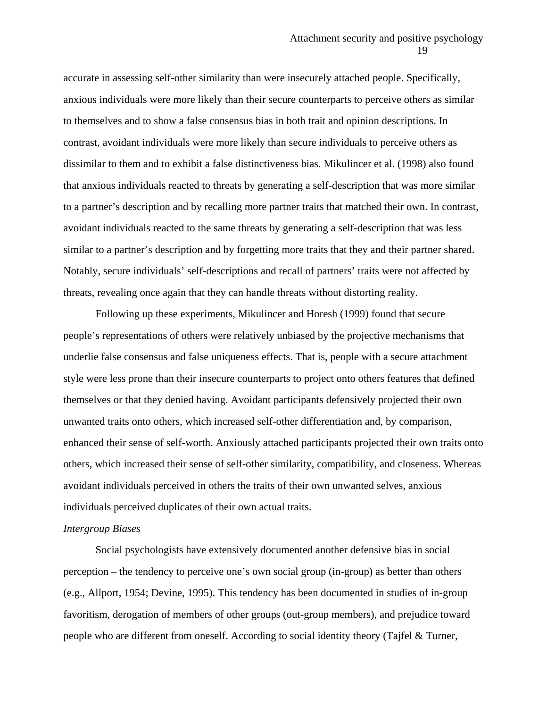accurate in assessing self-other similarity than were insecurely attached people. Specifically, anxious individuals were more likely than their secure counterparts to perceive others as similar to themselves and to show a false consensus bias in both trait and opinion descriptions. In contrast, avoidant individuals were more likely than secure individuals to perceive others as dissimilar to them and to exhibit a false distinctiveness bias. Mikulincer et al. (1998) also found that anxious individuals reacted to threats by generating a self-description that was more similar to a partner's description and by recalling more partner traits that matched their own. In contrast, avoidant individuals reacted to the same threats by generating a self-description that was less similar to a partner's description and by forgetting more traits that they and their partner shared. Notably, secure individuals' self-descriptions and recall of partners' traits were not affected by threats, revealing once again that they can handle threats without distorting reality.

Following up these experiments, Mikulincer and Horesh (1999) found that secure people's representations of others were relatively unbiased by the projective mechanisms that underlie false consensus and false uniqueness effects. That is, people with a secure attachment style were less prone than their insecure counterparts to project onto others features that defined themselves or that they denied having. Avoidant participants defensively projected their own unwanted traits onto others, which increased self-other differentiation and, by comparison, enhanced their sense of self-worth. Anxiously attached participants projected their own traits onto others, which increased their sense of self-other similarity, compatibility, and closeness. Whereas avoidant individuals perceived in others the traits of their own unwanted selves, anxious individuals perceived duplicates of their own actual traits.

# *Intergroup Biases*

Social psychologists have extensively documented another defensive bias in social perception – the tendency to perceive one's own social group (in-group) as better than others (e.g., Allport, 1954; Devine, 1995). This tendency has been documented in studies of in-group favoritism, derogation of members of other groups (out-group members), and prejudice toward people who are different from oneself. According to social identity theory (Tajfel & Turner,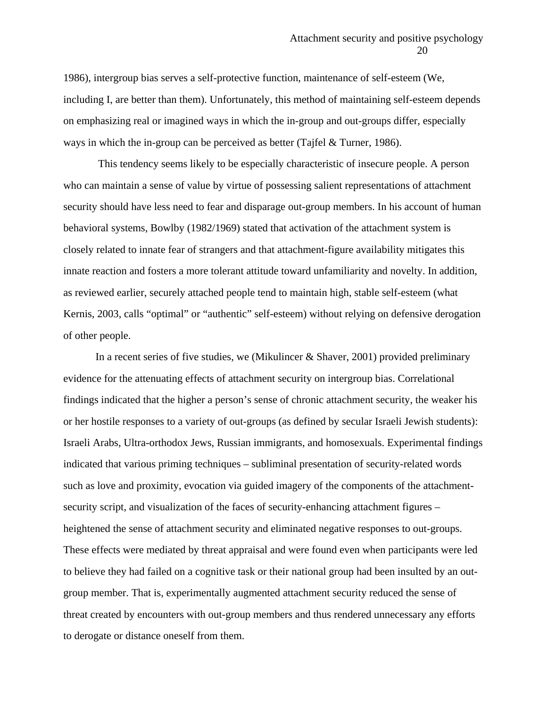1986), intergroup bias serves a self-protective function, maintenance of self-esteem (We, including I, are better than them). Unfortunately, this method of maintaining self-esteem depends on emphasizing real or imagined ways in which the in-group and out-groups differ, especially ways in which the in-group can be perceived as better (Tajfel & Turner, 1986).

 This tendency seems likely to be especially characteristic of insecure people. A person who can maintain a sense of value by virtue of possessing salient representations of attachment security should have less need to fear and disparage out-group members. In his account of human behavioral systems, Bowlby (1982/1969) stated that activation of the attachment system is closely related to innate fear of strangers and that attachment-figure availability mitigates this innate reaction and fosters a more tolerant attitude toward unfamiliarity and novelty. In addition, as reviewed earlier, securely attached people tend to maintain high, stable self-esteem (what Kernis, 2003, calls "optimal" or "authentic" self-esteem) without relying on defensive derogation of other people.

In a recent series of five studies, we (Mikulincer & Shaver, 2001) provided preliminary evidence for the attenuating effects of attachment security on intergroup bias. Correlational findings indicated that the higher a person's sense of chronic attachment security, the weaker his or her hostile responses to a variety of out-groups (as defined by secular Israeli Jewish students): Israeli Arabs, Ultra-orthodox Jews, Russian immigrants, and homosexuals. Experimental findings indicated that various priming techniques – subliminal presentation of security-related words such as love and proximity, evocation via guided imagery of the components of the attachmentsecurity script, and visualization of the faces of security-enhancing attachment figures – heightened the sense of attachment security and eliminated negative responses to out-groups. These effects were mediated by threat appraisal and were found even when participants were led to believe they had failed on a cognitive task or their national group had been insulted by an outgroup member. That is, experimentally augmented attachment security reduced the sense of threat created by encounters with out-group members and thus rendered unnecessary any efforts to derogate or distance oneself from them.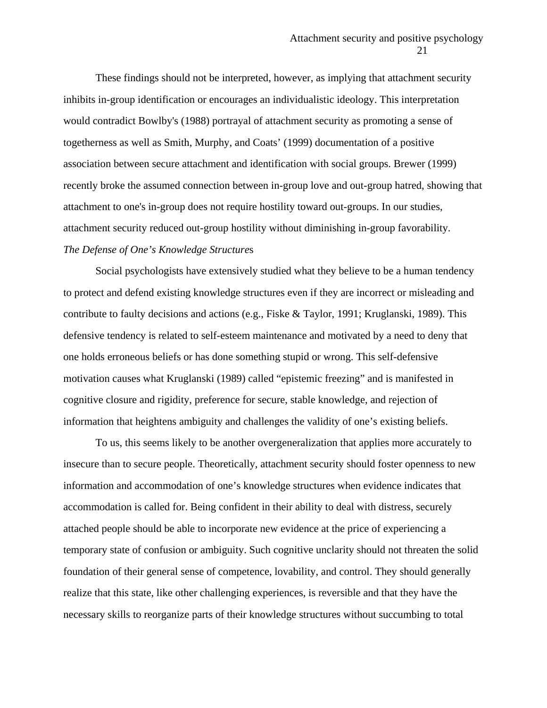These findings should not be interpreted, however, as implying that attachment security inhibits in-group identification or encourages an individualistic ideology. This interpretation would contradict Bowlby's (1988) portrayal of attachment security as promoting a sense of togetherness as well as Smith, Murphy, and Coats' (1999) documentation of a positive association between secure attachment and identification with social groups. Brewer (1999) recently broke the assumed connection between in-group love and out-group hatred, showing that attachment to one's in-group does not require hostility toward out-groups. In our studies, attachment security reduced out-group hostility without diminishing in-group favorability. *The Defense of One's Knowledge Structure*s

Social psychologists have extensively studied what they believe to be a human tendency to protect and defend existing knowledge structures even if they are incorrect or misleading and contribute to faulty decisions and actions (e.g., Fiske & Taylor, 1991; Kruglanski, 1989). This defensive tendency is related to self-esteem maintenance and motivated by a need to deny that one holds erroneous beliefs or has done something stupid or wrong. This self-defensive motivation causes what Kruglanski (1989) called "epistemic freezing" and is manifested in cognitive closure and rigidity, preference for secure, stable knowledge, and rejection of information that heightens ambiguity and challenges the validity of one's existing beliefs.

To us, this seems likely to be another overgeneralization that applies more accurately to insecure than to secure people. Theoretically, attachment security should foster openness to new information and accommodation of one's knowledge structures when evidence indicates that accommodation is called for. Being confident in their ability to deal with distress, securely attached people should be able to incorporate new evidence at the price of experiencing a temporary state of confusion or ambiguity. Such cognitive unclarity should not threaten the solid foundation of their general sense of competence, lovability, and control. They should generally realize that this state, like other challenging experiences, is reversible and that they have the necessary skills to reorganize parts of their knowledge structures without succumbing to total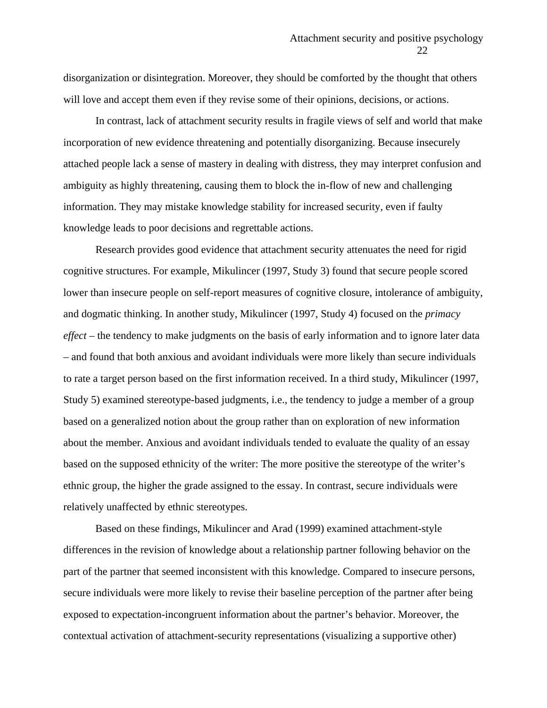disorganization or disintegration. Moreover, they should be comforted by the thought that others will love and accept them even if they revise some of their opinions, decisions, or actions.

In contrast, lack of attachment security results in fragile views of self and world that make incorporation of new evidence threatening and potentially disorganizing. Because insecurely attached people lack a sense of mastery in dealing with distress, they may interpret confusion and ambiguity as highly threatening, causing them to block the in-flow of new and challenging information. They may mistake knowledge stability for increased security, even if faulty knowledge leads to poor decisions and regrettable actions.

Research provides good evidence that attachment security attenuates the need for rigid cognitive structures. For example, Mikulincer (1997, Study 3) found that secure people scored lower than insecure people on self-report measures of cognitive closure, intolerance of ambiguity, and dogmatic thinking. In another study, Mikulincer (1997, Study 4) focused on the *primacy effect* – the tendency to make judgments on the basis of early information and to ignore later data – and found that both anxious and avoidant individuals were more likely than secure individuals to rate a target person based on the first information received. In a third study, Mikulincer (1997, Study 5) examined stereotype-based judgments, i.e., the tendency to judge a member of a group based on a generalized notion about the group rather than on exploration of new information about the member. Anxious and avoidant individuals tended to evaluate the quality of an essay based on the supposed ethnicity of the writer: The more positive the stereotype of the writer's ethnic group, the higher the grade assigned to the essay. In contrast, secure individuals were relatively unaffected by ethnic stereotypes.

Based on these findings, Mikulincer and Arad (1999) examined attachment-style differences in the revision of knowledge about a relationship partner following behavior on the part of the partner that seemed inconsistent with this knowledge. Compared to insecure persons, secure individuals were more likely to revise their baseline perception of the partner after being exposed to expectation-incongruent information about the partner's behavior. Moreover, the contextual activation of attachment-security representations (visualizing a supportive other)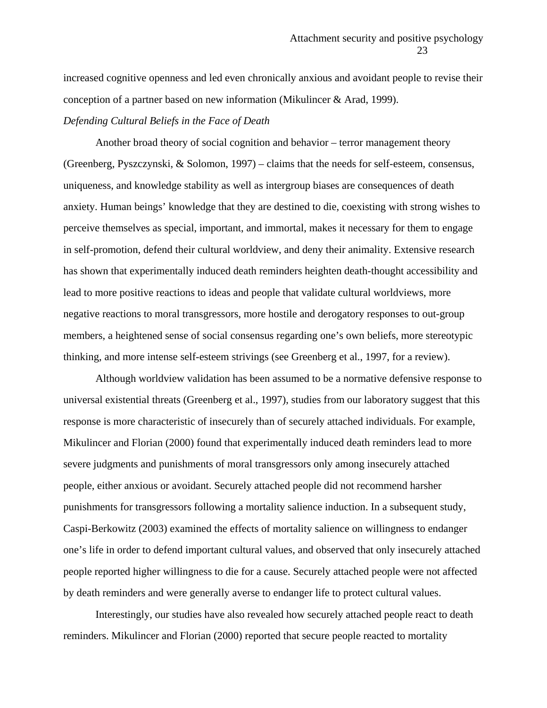increased cognitive openness and led even chronically anxious and avoidant people to revise their conception of a partner based on new information (Mikulincer & Arad, 1999).

# *Defending Cultural Beliefs in the Face of Death*

Another broad theory of social cognition and behavior – terror management theory (Greenberg, Pyszczynski, & Solomon, 1997) – claims that the needs for self-esteem, consensus, uniqueness, and knowledge stability as well as intergroup biases are consequences of death anxiety. Human beings' knowledge that they are destined to die, coexisting with strong wishes to perceive themselves as special, important, and immortal, makes it necessary for them to engage in self-promotion, defend their cultural worldview, and deny their animality. Extensive research has shown that experimentally induced death reminders heighten death-thought accessibility and lead to more positive reactions to ideas and people that validate cultural worldviews, more negative reactions to moral transgressors, more hostile and derogatory responses to out-group members, a heightened sense of social consensus regarding one's own beliefs, more stereotypic thinking, and more intense self-esteem strivings (see Greenberg et al., 1997, for a review).

Although worldview validation has been assumed to be a normative defensive response to universal existential threats (Greenberg et al., 1997), studies from our laboratory suggest that this response is more characteristic of insecurely than of securely attached individuals. For example, Mikulincer and Florian (2000) found that experimentally induced death reminders lead to more severe judgments and punishments of moral transgressors only among insecurely attached people, either anxious or avoidant. Securely attached people did not recommend harsher punishments for transgressors following a mortality salience induction. In a subsequent study, Caspi-Berkowitz (2003) examined the effects of mortality salience on willingness to endanger one's life in order to defend important cultural values, and observed that only insecurely attached people reported higher willingness to die for a cause. Securely attached people were not affected by death reminders and were generally averse to endanger life to protect cultural values.

Interestingly, our studies have also revealed how securely attached people react to death reminders. Mikulincer and Florian (2000) reported that secure people reacted to mortality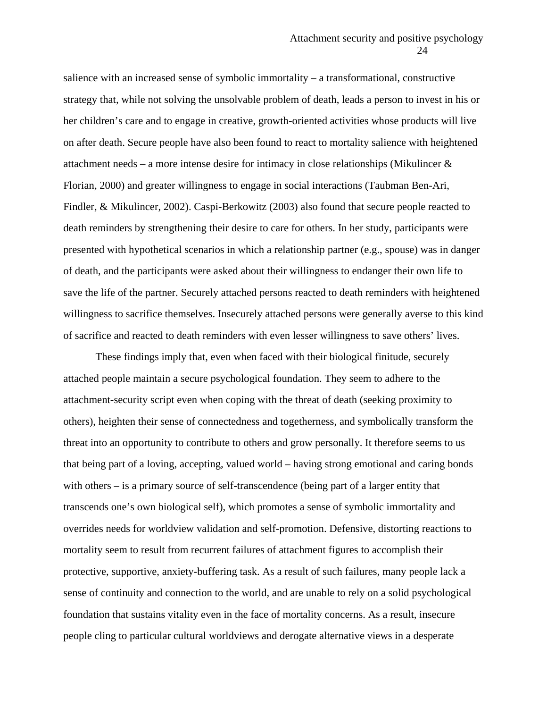salience with an increased sense of symbolic immortality – a transformational, constructive strategy that, while not solving the unsolvable problem of death, leads a person to invest in his or her children's care and to engage in creative, growth-oriented activities whose products will live on after death. Secure people have also been found to react to mortality salience with heightened attachment needs – a more intense desire for intimacy in close relationships (Mikulincer & Florian, 2000) and greater willingness to engage in social interactions (Taubman Ben-Ari, Findler, & Mikulincer, 2002). Caspi-Berkowitz (2003) also found that secure people reacted to death reminders by strengthening their desire to care for others. In her study, participants were presented with hypothetical scenarios in which a relationship partner (e.g., spouse) was in danger of death, and the participants were asked about their willingness to endanger their own life to save the life of the partner. Securely attached persons reacted to death reminders with heightened willingness to sacrifice themselves. Insecurely attached persons were generally averse to this kind of sacrifice and reacted to death reminders with even lesser willingness to save others' lives.

These findings imply that, even when faced with their biological finitude, securely attached people maintain a secure psychological foundation. They seem to adhere to the attachment-security script even when coping with the threat of death (seeking proximity to others), heighten their sense of connectedness and togetherness, and symbolically transform the threat into an opportunity to contribute to others and grow personally. It therefore seems to us that being part of a loving, accepting, valued world – having strong emotional and caring bonds with others – is a primary source of self-transcendence (being part of a larger entity that transcends one's own biological self), which promotes a sense of symbolic immortality and overrides needs for worldview validation and self-promotion. Defensive, distorting reactions to mortality seem to result from recurrent failures of attachment figures to accomplish their protective, supportive, anxiety-buffering task. As a result of such failures, many people lack a sense of continuity and connection to the world, and are unable to rely on a solid psychological foundation that sustains vitality even in the face of mortality concerns. As a result, insecure people cling to particular cultural worldviews and derogate alternative views in a desperate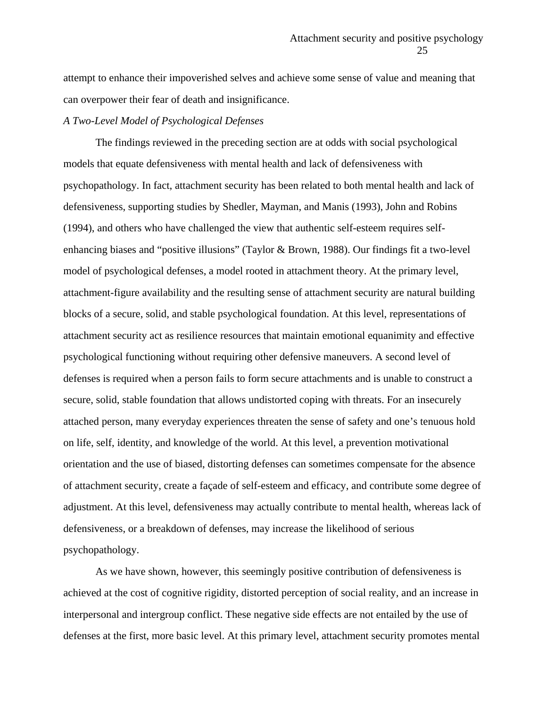attempt to enhance their impoverished selves and achieve some sense of value and meaning that can overpower their fear of death and insignificance.

## *A Two-Level Model of Psychological Defenses*

The findings reviewed in the preceding section are at odds with social psychological models that equate defensiveness with mental health and lack of defensiveness with psychopathology. In fact, attachment security has been related to both mental health and lack of defensiveness, supporting studies by Shedler, Mayman, and Manis (1993), John and Robins (1994), and others who have challenged the view that authentic self-esteem requires selfenhancing biases and "positive illusions" (Taylor & Brown, 1988). Our findings fit a two-level model of psychological defenses, a model rooted in attachment theory. At the primary level, attachment-figure availability and the resulting sense of attachment security are natural building blocks of a secure, solid, and stable psychological foundation. At this level, representations of attachment security act as resilience resources that maintain emotional equanimity and effective psychological functioning without requiring other defensive maneuvers. A second level of defenses is required when a person fails to form secure attachments and is unable to construct a secure, solid, stable foundation that allows undistorted coping with threats. For an insecurely attached person, many everyday experiences threaten the sense of safety and one's tenuous hold on life, self, identity, and knowledge of the world. At this level, a prevention motivational orientation and the use of biased, distorting defenses can sometimes compensate for the absence of attachment security, create a façade of self-esteem and efficacy, and contribute some degree of adjustment. At this level, defensiveness may actually contribute to mental health, whereas lack of defensiveness, or a breakdown of defenses, may increase the likelihood of serious psychopathology.

As we have shown, however, this seemingly positive contribution of defensiveness is achieved at the cost of cognitive rigidity, distorted perception of social reality, and an increase in interpersonal and intergroup conflict. These negative side effects are not entailed by the use of defenses at the first, more basic level. At this primary level, attachment security promotes mental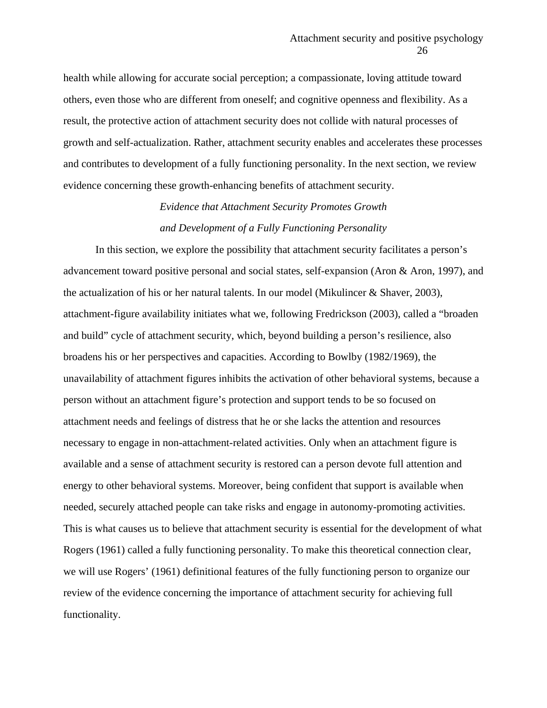health while allowing for accurate social perception; a compassionate, loving attitude toward others, even those who are different from oneself; and cognitive openness and flexibility. As a result, the protective action of attachment security does not collide with natural processes of growth and self-actualization. Rather, attachment security enables and accelerates these processes and contributes to development of a fully functioning personality. In the next section, we review evidence concerning these growth-enhancing benefits of attachment security.

# *Evidence that Attachment Security Promotes Growth and Development of a Fully Functioning Personality*

In this section, we explore the possibility that attachment security facilitates a person's advancement toward positive personal and social states, self-expansion (Aron & Aron, 1997), and the actualization of his or her natural talents. In our model (Mikulincer & Shaver, 2003), attachment-figure availability initiates what we, following Fredrickson (2003), called a "broaden and build" cycle of attachment security, which, beyond building a person's resilience, also broadens his or her perspectives and capacities. According to Bowlby (1982/1969), the unavailability of attachment figures inhibits the activation of other behavioral systems, because a person without an attachment figure's protection and support tends to be so focused on attachment needs and feelings of distress that he or she lacks the attention and resources necessary to engage in non-attachment-related activities. Only when an attachment figure is available and a sense of attachment security is restored can a person devote full attention and energy to other behavioral systems. Moreover, being confident that support is available when needed, securely attached people can take risks and engage in autonomy-promoting activities. This is what causes us to believe that attachment security is essential for the development of what Rogers (1961) called a fully functioning personality. To make this theoretical connection clear, we will use Rogers' (1961) definitional features of the fully functioning person to organize our review of the evidence concerning the importance of attachment security for achieving full functionality.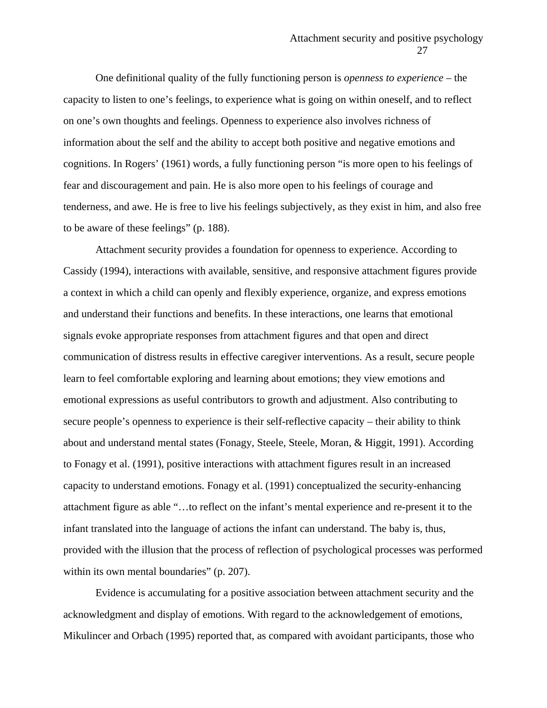One definitional quality of the fully functioning person is *openness to experience* – the capacity to listen to one's feelings, to experience what is going on within oneself, and to reflect on one's own thoughts and feelings. Openness to experience also involves richness of information about the self and the ability to accept both positive and negative emotions and cognitions. In Rogers' (1961) words, a fully functioning person "is more open to his feelings of fear and discouragement and pain. He is also more open to his feelings of courage and tenderness, and awe. He is free to live his feelings subjectively, as they exist in him, and also free to be aware of these feelings" (p. 188).

Attachment security provides a foundation for openness to experience. According to Cassidy (1994), interactions with available, sensitive, and responsive attachment figures provide a context in which a child can openly and flexibly experience, organize, and express emotions and understand their functions and benefits. In these interactions, one learns that emotional signals evoke appropriate responses from attachment figures and that open and direct communication of distress results in effective caregiver interventions. As a result, secure people learn to feel comfortable exploring and learning about emotions; they view emotions and emotional expressions as useful contributors to growth and adjustment. Also contributing to secure people's openness to experience is their self-reflective capacity – their ability to think about and understand mental states (Fonagy, Steele, Steele, Moran, & Higgit, 1991). According to Fonagy et al. (1991), positive interactions with attachment figures result in an increased capacity to understand emotions. Fonagy et al. (1991) conceptualized the security-enhancing attachment figure as able "…to reflect on the infant's mental experience and re-present it to the infant translated into the language of actions the infant can understand. The baby is, thus, provided with the illusion that the process of reflection of psychological processes was performed within its own mental boundaries" (p. 207).

Evidence is accumulating for a positive association between attachment security and the acknowledgment and display of emotions. With regard to the acknowledgement of emotions, Mikulincer and Orbach (1995) reported that, as compared with avoidant participants, those who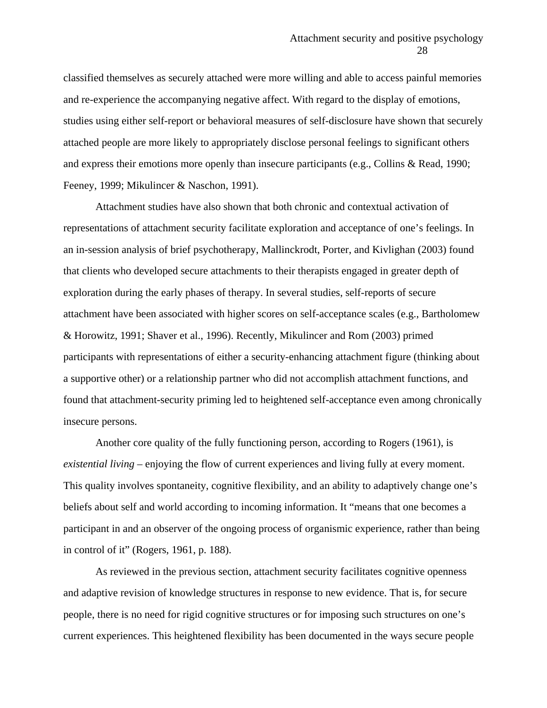classified themselves as securely attached were more willing and able to access painful memories and re-experience the accompanying negative affect. With regard to the display of emotions, studies using either self-report or behavioral measures of self-disclosure have shown that securely attached people are more likely to appropriately disclose personal feelings to significant others and express their emotions more openly than insecure participants (e.g., Collins & Read, 1990; Feeney, 1999; Mikulincer & Naschon, 1991).

Attachment studies have also shown that both chronic and contextual activation of representations of attachment security facilitate exploration and acceptance of one's feelings. In an in-session analysis of brief psychotherapy, Mallinckrodt, Porter, and Kivlighan (2003) found that clients who developed secure attachments to their therapists engaged in greater depth of exploration during the early phases of therapy. In several studies, self-reports of secure attachment have been associated with higher scores on self-acceptance scales (e.g., Bartholomew & Horowitz, 1991; Shaver et al., 1996). Recently, Mikulincer and Rom (2003) primed participants with representations of either a security-enhancing attachment figure (thinking about a supportive other) or a relationship partner who did not accomplish attachment functions, and found that attachment-security priming led to heightened self-acceptance even among chronically insecure persons.

Another core quality of the fully functioning person, according to Rogers (1961), is *existential living* – enjoying the flow of current experiences and living fully at every moment. This quality involves spontaneity, cognitive flexibility, and an ability to adaptively change one's beliefs about self and world according to incoming information. It "means that one becomes a participant in and an observer of the ongoing process of organismic experience, rather than being in control of it" (Rogers, 1961, p. 188).

As reviewed in the previous section, attachment security facilitates cognitive openness and adaptive revision of knowledge structures in response to new evidence. That is, for secure people, there is no need for rigid cognitive structures or for imposing such structures on one's current experiences. This heightened flexibility has been documented in the ways secure people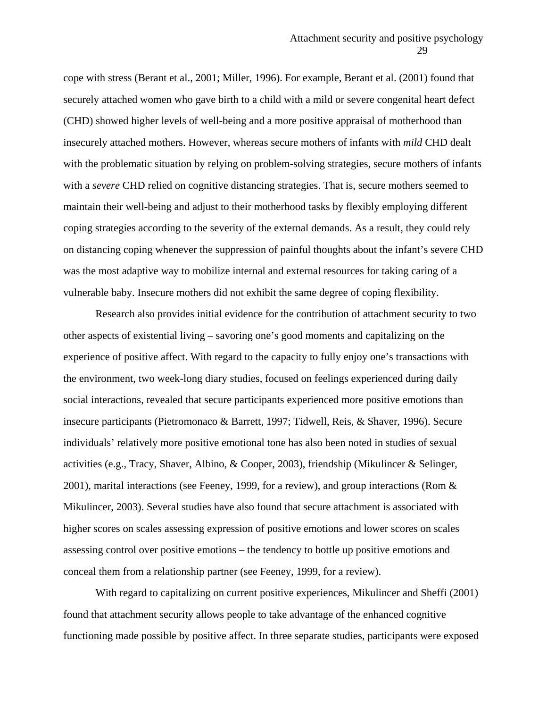cope with stress (Berant et al., 2001; Miller, 1996). For example, Berant et al. (2001) found that securely attached women who gave birth to a child with a mild or severe congenital heart defect (CHD) showed higher levels of well-being and a more positive appraisal of motherhood than insecurely attached mothers. However, whereas secure mothers of infants with *mild* CHD dealt with the problematic situation by relying on problem-solving strategies, secure mothers of infants with a *severe* CHD relied on cognitive distancing strategies. That is, secure mothers seemed to maintain their well-being and adjust to their motherhood tasks by flexibly employing different coping strategies according to the severity of the external demands. As a result, they could rely on distancing coping whenever the suppression of painful thoughts about the infant's severe CHD was the most adaptive way to mobilize internal and external resources for taking caring of a vulnerable baby. Insecure mothers did not exhibit the same degree of coping flexibility.

Research also provides initial evidence for the contribution of attachment security to two other aspects of existential living – savoring one's good moments and capitalizing on the experience of positive affect. With regard to the capacity to fully enjoy one's transactions with the environment, two week-long diary studies, focused on feelings experienced during daily social interactions, revealed that secure participants experienced more positive emotions than insecure participants (Pietromonaco & Barrett, 1997; Tidwell, Reis, & Shaver, 1996). Secure individuals' relatively more positive emotional tone has also been noted in studies of sexual activities (e.g., Tracy, Shaver, Albino, & Cooper, 2003), friendship (Mikulincer & Selinger, 2001), marital interactions (see Feeney, 1999, for a review), and group interactions (Rom & Mikulincer, 2003). Several studies have also found that secure attachment is associated with higher scores on scales assessing expression of positive emotions and lower scores on scales assessing control over positive emotions – the tendency to bottle up positive emotions and conceal them from a relationship partner (see Feeney, 1999, for a review).

With regard to capitalizing on current positive experiences, Mikulincer and Sheffi (2001) found that attachment security allows people to take advantage of the enhanced cognitive functioning made possible by positive affect. In three separate studies, participants were exposed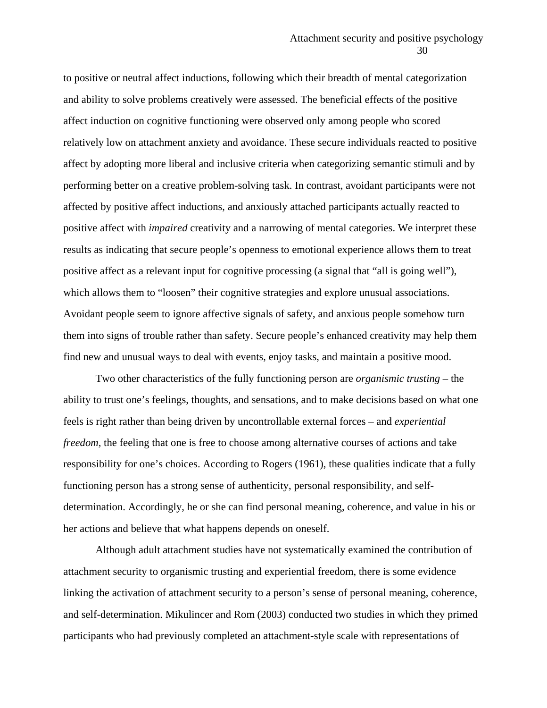to positive or neutral affect inductions, following which their breadth of mental categorization and ability to solve problems creatively were assessed. The beneficial effects of the positive affect induction on cognitive functioning were observed only among people who scored relatively low on attachment anxiety and avoidance. These secure individuals reacted to positive affect by adopting more liberal and inclusive criteria when categorizing semantic stimuli and by performing better on a creative problem-solving task. In contrast, avoidant participants were not affected by positive affect inductions, and anxiously attached participants actually reacted to positive affect with *impaired* creativity and a narrowing of mental categories. We interpret these results as indicating that secure people's openness to emotional experience allows them to treat positive affect as a relevant input for cognitive processing (a signal that "all is going well"), which allows them to "loosen" their cognitive strategies and explore unusual associations. Avoidant people seem to ignore affective signals of safety, and anxious people somehow turn them into signs of trouble rather than safety. Secure people's enhanced creativity may help them find new and unusual ways to deal with events, enjoy tasks, and maintain a positive mood.

Two other characteristics of the fully functioning person are *organismic trusting –* the ability to trust one's feelings, thoughts, and sensations, and to make decisions based on what one feels is right rather than being driven by uncontrollable external forces – and *experiential freedom,* the feeling that one is free to choose among alternative courses of actions and take responsibility for one's choices. According to Rogers (1961), these qualities indicate that a fully functioning person has a strong sense of authenticity, personal responsibility, and selfdetermination. Accordingly, he or she can find personal meaning, coherence, and value in his or her actions and believe that what happens depends on oneself.

Although adult attachment studies have not systematically examined the contribution of attachment security to organismic trusting and experiential freedom, there is some evidence linking the activation of attachment security to a person's sense of personal meaning, coherence, and self-determination. Mikulincer and Rom (2003) conducted two studies in which they primed participants who had previously completed an attachment-style scale with representations of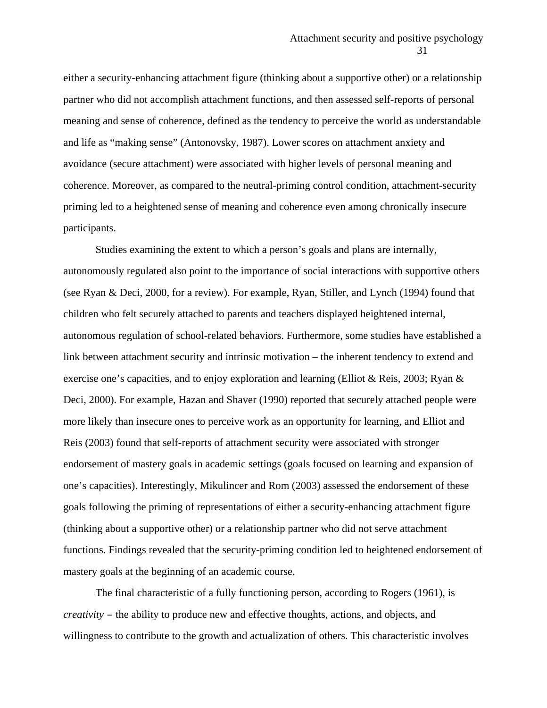either a security-enhancing attachment figure (thinking about a supportive other) or a relationship partner who did not accomplish attachment functions, and then assessed self-reports of personal meaning and sense of coherence, defined as the tendency to perceive the world as understandable and life as "making sense" (Antonovsky, 1987). Lower scores on attachment anxiety and avoidance (secure attachment) were associated with higher levels of personal meaning and coherence. Moreover, as compared to the neutral-priming control condition, attachment-security priming led to a heightened sense of meaning and coherence even among chronically insecure participants.

Studies examining the extent to which a person's goals and plans are internally, autonomously regulated also point to the importance of social interactions with supportive others (see Ryan & Deci, 2000, for a review). For example, Ryan, Stiller, and Lynch (1994) found that children who felt securely attached to parents and teachers displayed heightened internal, autonomous regulation of school-related behaviors. Furthermore, some studies have established a link between attachment security and intrinsic motivation – the inherent tendency to extend and exercise one's capacities, and to enjoy exploration and learning (Elliot & Reis, 2003; Ryan & Deci, 2000). For example, Hazan and Shaver (1990) reported that securely attached people were more likely than insecure ones to perceive work as an opportunity for learning, and Elliot and Reis (2003) found that self-reports of attachment security were associated with stronger endorsement of mastery goals in academic settings (goals focused on learning and expansion of one's capacities). Interestingly, Mikulincer and Rom (2003) assessed the endorsement of these goals following the priming of representations of either a security-enhancing attachment figure (thinking about a supportive other) or a relationship partner who did not serve attachment functions. Findings revealed that the security-priming condition led to heightened endorsement of mastery goals at the beginning of an academic course.

The final characteristic of a fully functioning person, according to Rogers (1961), is *creativity* – the ability to produce new and effective thoughts, actions, and objects, and willingness to contribute to the growth and actualization of others. This characteristic involves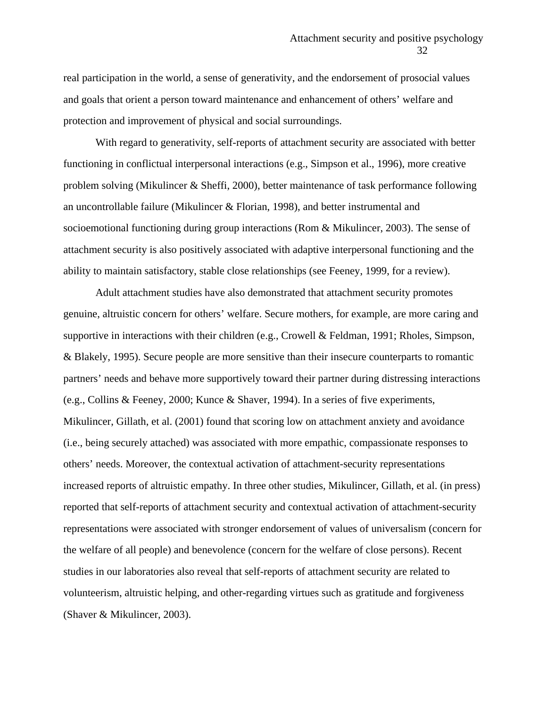real participation in the world, a sense of generativity, and the endorsement of prosocial values and goals that orient a person toward maintenance and enhancement of others' welfare and protection and improvement of physical and social surroundings.

With regard to generativity, self-reports of attachment security are associated with better functioning in conflictual interpersonal interactions (e.g., Simpson et al., 1996), more creative problem solving (Mikulincer & Sheffi, 2000), better maintenance of task performance following an uncontrollable failure (Mikulincer & Florian, 1998), and better instrumental and socioemotional functioning during group interactions (Rom & Mikulincer, 2003). The sense of attachment security is also positively associated with adaptive interpersonal functioning and the ability to maintain satisfactory, stable close relationships (see Feeney, 1999, for a review).

Adult attachment studies have also demonstrated that attachment security promotes genuine, altruistic concern for others' welfare. Secure mothers, for example, are more caring and supportive in interactions with their children (e.g., Crowell & Feldman, 1991; Rholes, Simpson, & Blakely, 1995). Secure people are more sensitive than their insecure counterparts to romantic partners' needs and behave more supportively toward their partner during distressing interactions (e.g., Collins & Feeney, 2000; Kunce & Shaver, 1994). In a series of five experiments, Mikulincer, Gillath, et al. (2001) found that scoring low on attachment anxiety and avoidance (i.e., being securely attached) was associated with more empathic, compassionate responses to others' needs. Moreover, the contextual activation of attachment-security representations increased reports of altruistic empathy. In three other studies, Mikulincer, Gillath, et al. (in press) reported that self-reports of attachment security and contextual activation of attachment-security representations were associated with stronger endorsement of values of universalism (concern for the welfare of all people) and benevolence (concern for the welfare of close persons). Recent studies in our laboratories also reveal that self-reports of attachment security are related to volunteerism, altruistic helping, and other-regarding virtues such as gratitude and forgiveness (Shaver & Mikulincer, 2003).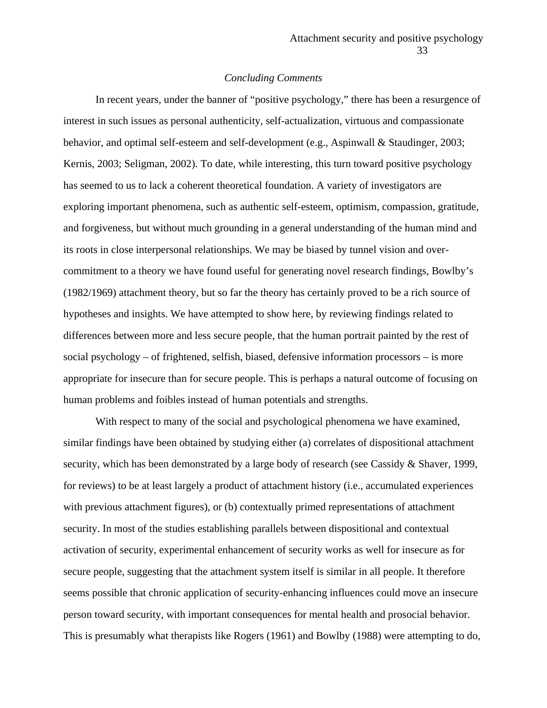### *Concluding Comments*

In recent years, under the banner of "positive psychology," there has been a resurgence of interest in such issues as personal authenticity, self-actualization, virtuous and compassionate behavior, and optimal self-esteem and self-development (e.g., Aspinwall & Staudinger, 2003; Kernis, 2003; Seligman, 2002). To date, while interesting, this turn toward positive psychology has seemed to us to lack a coherent theoretical foundation. A variety of investigators are exploring important phenomena, such as authentic self-esteem, optimism, compassion, gratitude, and forgiveness, but without much grounding in a general understanding of the human mind and its roots in close interpersonal relationships. We may be biased by tunnel vision and overcommitment to a theory we have found useful for generating novel research findings, Bowlby's (1982/1969) attachment theory, but so far the theory has certainly proved to be a rich source of hypotheses and insights. We have attempted to show here, by reviewing findings related to differences between more and less secure people, that the human portrait painted by the rest of social psychology – of frightened, selfish, biased, defensive information processors – is more appropriate for insecure than for secure people. This is perhaps a natural outcome of focusing on human problems and foibles instead of human potentials and strengths.

With respect to many of the social and psychological phenomena we have examined, similar findings have been obtained by studying either (a) correlates of dispositional attachment security, which has been demonstrated by a large body of research (see Cassidy & Shaver, 1999, for reviews) to be at least largely a product of attachment history (i.e., accumulated experiences with previous attachment figures), or (b) contextually primed representations of attachment security. In most of the studies establishing parallels between dispositional and contextual activation of security, experimental enhancement of security works as well for insecure as for secure people, suggesting that the attachment system itself is similar in all people. It therefore seems possible that chronic application of security-enhancing influences could move an insecure person toward security, with important consequences for mental health and prosocial behavior. This is presumably what therapists like Rogers (1961) and Bowlby (1988) were attempting to do,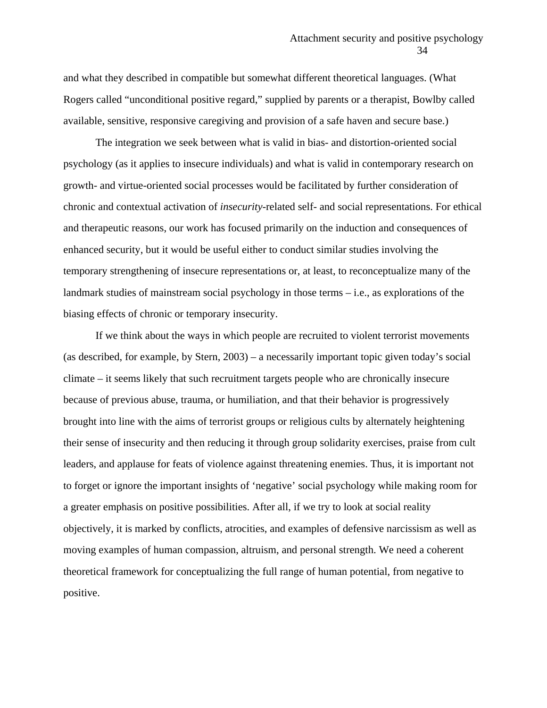and what they described in compatible but somewhat different theoretical languages. (What Rogers called "unconditional positive regard," supplied by parents or a therapist, Bowlby called available, sensitive, responsive caregiving and provision of a safe haven and secure base.)

The integration we seek between what is valid in bias- and distortion-oriented social psychology (as it applies to insecure individuals) and what is valid in contemporary research on growth- and virtue-oriented social processes would be facilitated by further consideration of chronic and contextual activation of *insecurity*-related self- and social representations. For ethical and therapeutic reasons, our work has focused primarily on the induction and consequences of enhanced security, but it would be useful either to conduct similar studies involving the temporary strengthening of insecure representations or, at least, to reconceptualize many of the landmark studies of mainstream social psychology in those terms – i.e., as explorations of the biasing effects of chronic or temporary insecurity.

If we think about the ways in which people are recruited to violent terrorist movements (as described, for example, by Stern, 2003) – a necessarily important topic given today's social climate – it seems likely that such recruitment targets people who are chronically insecure because of previous abuse, trauma, or humiliation, and that their behavior is progressively brought into line with the aims of terrorist groups or religious cults by alternately heightening their sense of insecurity and then reducing it through group solidarity exercises, praise from cult leaders, and applause for feats of violence against threatening enemies. Thus, it is important not to forget or ignore the important insights of 'negative' social psychology while making room for a greater emphasis on positive possibilities. After all, if we try to look at social reality objectively, it is marked by conflicts, atrocities, and examples of defensive narcissism as well as moving examples of human compassion, altruism, and personal strength. We need a coherent theoretical framework for conceptualizing the full range of human potential, from negative to positive.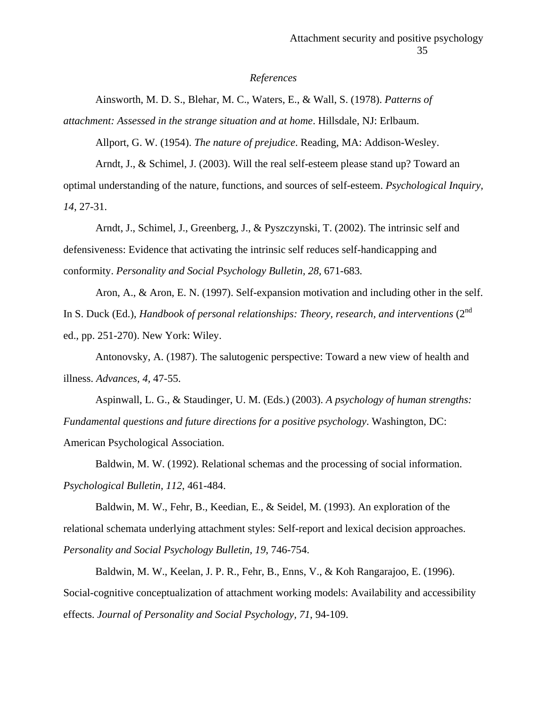# *References*

Ainsworth, M. D. S., Blehar, M. C., Waters, E., & Wall, S. (1978). *Patterns of* 

*attachment: Assessed in the strange situation and at home*. Hillsdale, NJ: Erlbaum.

Allport, G. W. (1954). *The nature of prejudice*. Reading, MA: Addison-Wesley.

Arndt, J., & Schimel, J. (2003). Will the real self-esteem please stand up? Toward an optimal understanding of the nature, functions, and sources of self-esteem. *Psychological Inquiry, 14*, 27-31.

Arndt, J., Schimel, J., Greenberg, J., & Pyszczynski, T. (2002). The intrinsic self and defensiveness: Evidence that activating the intrinsic self reduces self-handicapping and conformity. *Personality and Social Psychology Bulletin, 28,* 671-683*.*

Aron, A., & Aron, E. N. (1997). Self-expansion motivation and including other in the self. In S. Duck (Ed.), *Handbook of personal relationships: Theory, research, and interventions* (2<sup>nd</sup>) ed., pp. 251-270). New York: Wiley.

Antonovsky, A. (1987). The salutogenic perspective: Toward a new view of health and illness. *Advances, 4,* 47-55.

Aspinwall, L. G., & Staudinger, U. M. (Eds.) (2003). *A psychology of human strengths: Fundamental questions and future directions for a positive psychology*. Washington, DC: American Psychological Association.

Baldwin, M. W. (1992). Relational schemas and the processing of social information. *Psychological Bulletin, 112*, 461-484.

Baldwin, M. W., Fehr, B., Keedian, E., & Seidel, M. (1993). An exploration of the relational schemata underlying attachment styles: Self-report and lexical decision approaches. *Personality and Social Psychology Bulletin, 19*, 746-754.

Baldwin, M. W., Keelan, J. P. R., Fehr, B., Enns, V., & Koh Rangarajoo, E. (1996). Social-cognitive conceptualization of attachment working models: Availability and accessibility effects. *Journal of Personality and Social Psychology, 71*, 94-109.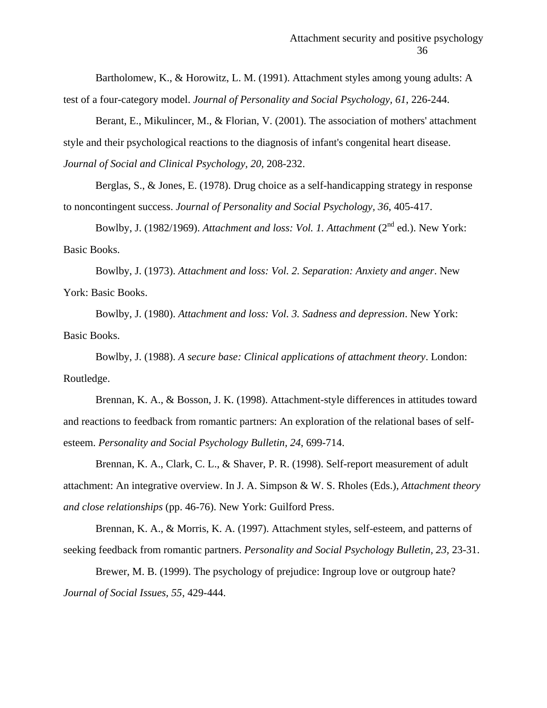Bartholomew, K., & Horowitz, L. M. (1991). Attachment styles among young adults: A test of a four-category model. *Journal of Personality and Social Psychology, 61*, 226-244.

Berant, E., Mikulincer, M., & Florian, V. (2001). The association of mothers' attachment style and their psychological reactions to the diagnosis of infant's congenital heart disease. *Journal of Social and Clinical Psychology, 20,* 208-232.

Berglas, S., & Jones, E. (1978). Drug choice as a self-handicapping strategy in response to noncontingent success. *Journal of Personality and Social Psychology, 36*, 405-417.

Bowlby, J. (1982/1969). *Attachment and loss: Vol. 1. Attachment* (2<sup>nd</sup> ed.). New York: Basic Books.

Bowlby, J. (1973). *Attachment and loss: Vol. 2. Separation: Anxiety and anger*. New York: Basic Books.

Bowlby, J. (1980). *Attachment and loss: Vol. 3. Sadness and depression*. New York: Basic Books.

Bowlby, J. (1988). *A secure base: Clinical applications of attachment theory*. London: Routledge.

Brennan, K. A., & Bosson, J. K. (1998). Attachment-style differences in attitudes toward and reactions to feedback from romantic partners: An exploration of the relational bases of selfesteem. *Personality and Social Psychology Bulletin, 24*, 699-714.

Brennan, K. A., Clark, C. L., & Shaver, P. R. (1998). Self-report measurement of adult attachment: An integrative overview. In J. A. Simpson & W. S. Rholes (Eds.), *Attachment theory and close relationships* (pp. 46-76). New York: Guilford Press.

Brennan, K. A., & Morris, K. A. (1997). Attachment styles, self-esteem, and patterns of seeking feedback from romantic partners. *Personality and Social Psychology Bulletin, 23,* 23-31.

Brewer, M. B. (1999). The psychology of prejudice: Ingroup love or outgroup hate? *Journal of Social Issues, 55*, 429-444.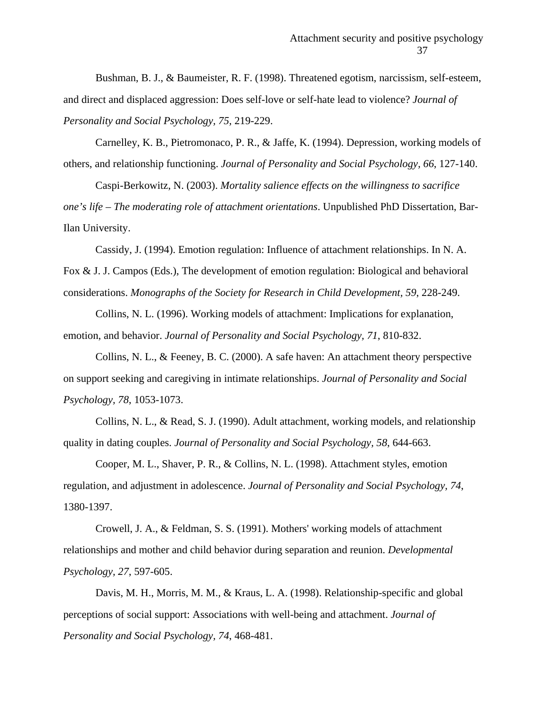Bushman, B. J., & Baumeister, R. F. (1998). Threatened egotism, narcissism, self-esteem, and direct and displaced aggression: Does self-love or self-hate lead to violence? *Journal of Personality and Social Psychology, 75,* 219-229.

Carnelley, K. B., Pietromonaco, P. R., & Jaffe, K. (1994). Depression, working models of others, and relationship functioning. *Journal of Personality and Social Psychology, 66*, 127-140.

Caspi-Berkowitz, N. (2003). *Mortality salience effects on the willingness to sacrifice one's life – The moderating role of attachment orientations*. Unpublished PhD Dissertation, Bar-Ilan University.

Cassidy, J. (1994). Emotion regulation: Influence of attachment relationships. In N. A. Fox & J. J. Campos (Eds.), The development of emotion regulation: Biological and behavioral considerations. *Monographs of the Society for Research in Child Development, 59*, 228-249.

Collins, N. L. (1996). Working models of attachment: Implications for explanation, emotion, and behavior. *Journal of Personality and Social Psychology, 71*, 810-832.

Collins, N. L., & Feeney, B. C. (2000). A safe haven: An attachment theory perspective on support seeking and caregiving in intimate relationships. *Journal of Personality and Social Psychology, 78*, 1053-1073.

Collins, N. L., & Read, S. J. (1990). Adult attachment, working models, and relationship quality in dating couples. *Journal of Personality and Social Psychology, 58*, 644-663.

Cooper, M. L., Shaver, P. R., & Collins, N. L. (1998). Attachment styles, emotion regulation, and adjustment in adolescence. *Journal of Personality and Social Psychology, 74*, 1380-1397.

Crowell, J. A., & Feldman, S. S. (1991). Mothers' working models of attachment relationships and mother and child behavior during separation and reunion. *Developmental Psychology, 27*, 597-605.

Davis, M. H., Morris, M. M., & Kraus, L. A. (1998). Relationship-specific and global perceptions of social support: Associations with well-being and attachment. *Journal of Personality and Social Psychology, 74*, 468-481.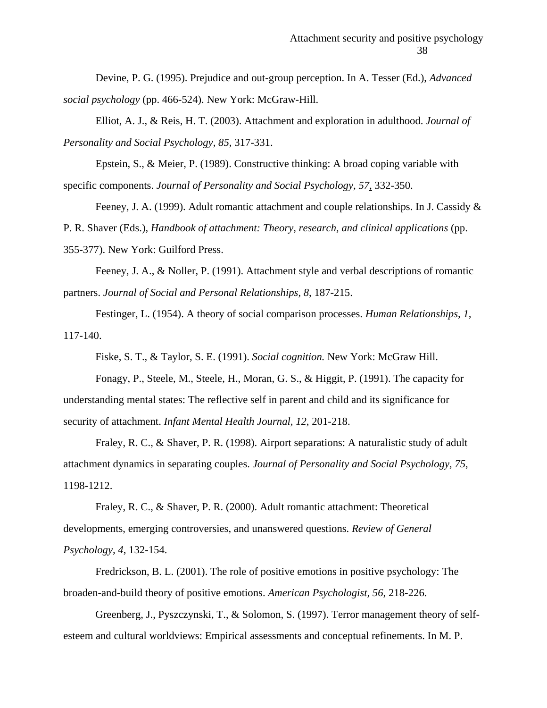Devine, P. G. (1995). Prejudice and out-group perception. In A. Tesser (Ed.), *Advanced social psychology* (pp. 466-524). New York: McGraw-Hill.

Elliot, A. J., & Reis, H. T. (2003). Attachment and exploration in adulthood. *Journal of Personality and Social Psychology, 85*, 317-331.

Epstein, S., & Meier, P. (1989). Constructive thinking: A broad coping variable with specific components. *Journal of Personality and Social Psychology, 57*, 332-350.

Feeney, J. A. (1999). Adult romantic attachment and couple relationships. In J. Cassidy & P. R. Shaver (Eds.), *Handbook of attachment: Theory, research, and clinical applications* (pp. 355-377). New York: Guilford Press.

Feeney, J. A., & Noller, P. (1991). Attachment style and verbal descriptions of romantic partners. *Journal of Social and Personal Relationships, 8*, 187-215.

Festinger, L. (1954). A theory of social comparison processes. *Human Relationships, 1,*  117-140.

Fiske, S. T., & Taylor, S. E. (1991). *Social cognition.* New York: McGraw Hill.

Fonagy, P., Steele, M., Steele, H., Moran, G. S., & Higgit, P. (1991). The capacity for understanding mental states: The reflective self in parent and child and its significance for security of attachment. *Infant Mental Health Journal, 12*, 201-218.

Fraley, R. C., & Shaver, P. R. (1998). Airport separations: A naturalistic study of adult attachment dynamics in separating couples. *Journal of Personality and Social Psychology, 75*, 1198-1212.

Fraley, R. C., & Shaver, P. R. (2000). Adult romantic attachment: Theoretical developments, emerging controversies, and unanswered questions. *Review of General Psychology, 4*, 132-154.

Fredrickson, B. L. (2001). The role of positive emotions in positive psychology: The broaden-and-build theory of positive emotions. *American Psychologist, 56*, 218-226.

Greenberg, J., Pyszczynski, T., & Solomon, S. (1997). Terror management theory of selfesteem and cultural worldviews: Empirical assessments and conceptual refinements. In M. P.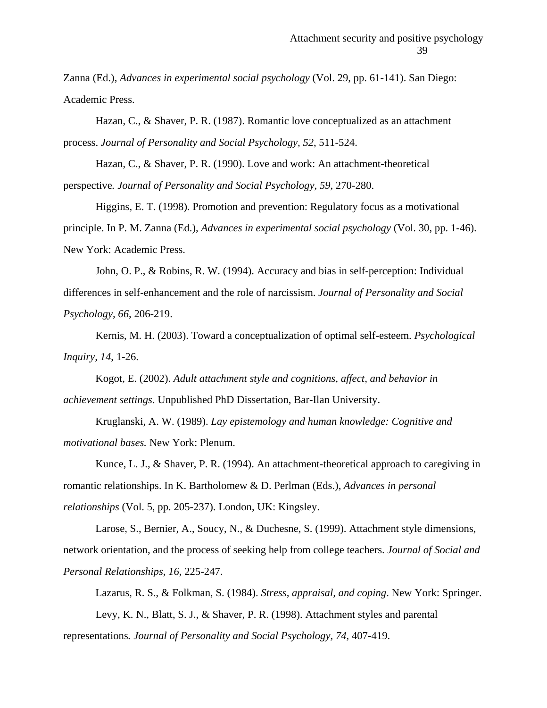Zanna (Ed.), *Advances in experimental social psychology* (Vol. 29, pp. 61-141). San Diego: Academic Press.

Hazan, C., & Shaver, P. R. (1987). Romantic love conceptualized as an attachment process. *Journal of Personality and Social Psychology, 52*, 511-524.

Hazan, C., & Shaver, P. R. (1990). Love and work: An attachment-theoretical perspective*. Journal of Personality and Social Psychology, 59*, 270-280.

Higgins, E. T. (1998). Promotion and prevention: Regulatory focus as a motivational principle. In P. M. Zanna (Ed.), *Advances in experimental social psychology* (Vol. 30, pp. 1-46). New York: Academic Press.

John, O. P., & Robins, R. W. (1994). Accuracy and bias in self-perception: Individual differences in self-enhancement and the role of narcissism. *Journal of Personality and Social Psychology, 66*, 206-219.

Kernis, M. H. (2003). Toward a conceptualization of optimal self-esteem. *Psychological Inquiry, 14*, 1-26.

Kogot, E. (2002). *Adult attachment style and cognitions, affect, and behavior in achievement settings*. Unpublished PhD Dissertation, Bar-Ilan University.

Kruglanski, A. W. (1989). *Lay epistemology and human knowledge: Cognitive and motivational bases.* New York: Plenum.

Kunce, L. J., & Shaver, P. R. (1994). An attachment-theoretical approach to caregiving in romantic relationships. In K. Bartholomew & D. Perlman (Eds.), *Advances in personal relationships* (Vol. 5, pp. 205-237). London, UK: Kingsley.

Larose, S., Bernier, A., Soucy, N., & Duchesne, S. (1999). Attachment style dimensions, network orientation, and the process of seeking help from college teachers. *Journal of Social and Personal Relationships, 16*, 225-247.

Lazarus, R. S., & Folkman, S. (1984). *Stress, appraisal, and coping*. New York: Springer. Levy, K. N., Blatt, S. J., & Shaver, P. R. (1998). Attachment styles and parental representations*. Journal of Personality and Social Psychology, 74*, 407-419.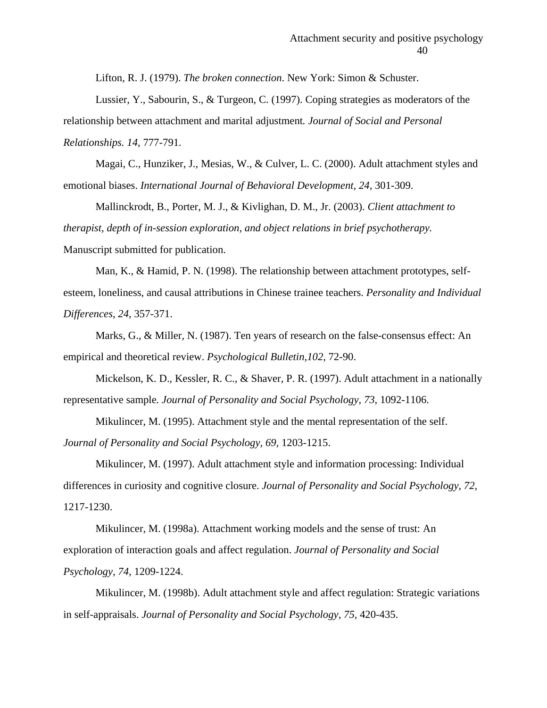Lifton, R. J. (1979). *The broken connection*. New York: Simon & Schuster.

Lussier, Y., Sabourin, S., & Turgeon, C. (1997). Coping strategies as moderators of the relationship between attachment and marital adjustment*. Journal of Social and Personal Relationships. 14*, 777-791.

Magai, C., Hunziker, J., Mesias, W., & Culver, L. C. (2000). Adult attachment styles and emotional biases. *International Journal of Behavioral Development, 24,* 301-309.

Mallinckrodt, B., Porter, M. J., & Kivlighan, D. M., Jr. (2003). *Client attachment to therapist, depth of in-session exploration, and object relations in brief psychotherapy.* Manuscript submitted for publication.

Man, K., & Hamid, P. N. (1998). The relationship between attachment prototypes, selfesteem, loneliness, and causal attributions in Chinese trainee teachers. *Personality and Individual Differences, 24,* 357-371.

Marks, G., & Miller, N. (1987). Ten years of research on the false-consensus effect: An empirical and theoretical review. *Psychological Bulletin,102,* 72-90.

Mickelson, K. D., Kessler, R. C., & Shaver, P. R. (1997). Adult attachment in a nationally representative sample*. Journal of Personality and Social Psychology, 73*, 1092-1106.

Mikulincer, M. (1995). Attachment style and the mental representation of the self. *Journal of Personality and Social Psychology, 69,* 1203-1215.

Mikulincer, M. (1997). Adult attachment style and information processing: Individual differences in curiosity and cognitive closure. *Journal of Personality and Social Psychology, 72,* 1217-1230.

Mikulincer, M. (1998a). Attachment working models and the sense of trust: An exploration of interaction goals and affect regulation. *Journal of Personality and Social Psychology, 74,* 1209-1224.

Mikulincer, M. (1998b). Adult attachment style and affect regulation: Strategic variations in self-appraisals. *Journal of Personality and Social Psychology, 75,* 420-435.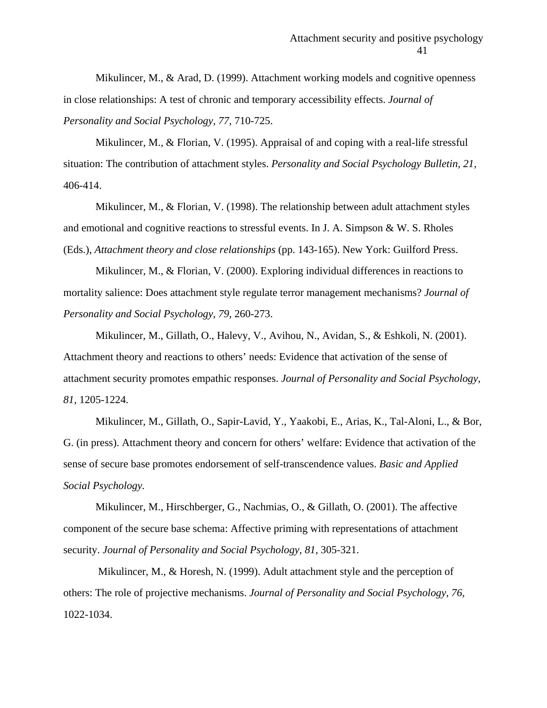Mikulincer, M., & Arad, D. (1999). Attachment working models and cognitive openness in close relationships: A test of chronic and temporary accessibility effects. *Journal of Personality and Social Psychology, 77,* 710-725.

Mikulincer, M., & Florian, V. (1995). Appraisal of and coping with a real-life stressful situation: The contribution of attachment styles. *Personality and Social Psychology Bulletin, 21,* 406-414.

Mikulincer, M., & Florian, V. (1998). The relationship between adult attachment styles and emotional and cognitive reactions to stressful events. In J. A. Simpson & W. S. Rholes (Eds.), *Attachment theory and close relationships* (pp. 143-165). New York: Guilford Press.

Mikulincer, M., & Florian, V. (2000). Exploring individual differences in reactions to mortality salience: Does attachment style regulate terror management mechanisms? *Journal of Personality and Social Psychology, 79,* 260-273.

Mikulincer, M., Gillath, O., Halevy, V., Avihou, N., Avidan, S., & Eshkoli, N. (2001). Attachment theory and reactions to others' needs: Evidence that activation of the sense of attachment security promotes empathic responses. *Journal of Personality and Social Psychology, 81,* 1205-1224.

Mikulincer, M., Gillath, O., Sapir-Lavid, Y., Yaakobi, E., Arias, K., Tal-Aloni, L., & Bor, G. (in press). Attachment theory and concern for others' welfare: Evidence that activation of the sense of secure base promotes endorsement of self-transcendence values. *Basic and Applied Social Psychology.* 

Mikulincer, M., Hirschberger, G., Nachmias, O., & Gillath, O. (2001). The affective component of the secure base schema: Affective priming with representations of attachment security. *Journal of Personality and Social Psychology, 81,* 305-321.

 Mikulincer, M., & Horesh, N. (1999). Adult attachment style and the perception of others: The role of projective mechanisms. *Journal of Personality and Social Psychology, 76,* 1022-1034.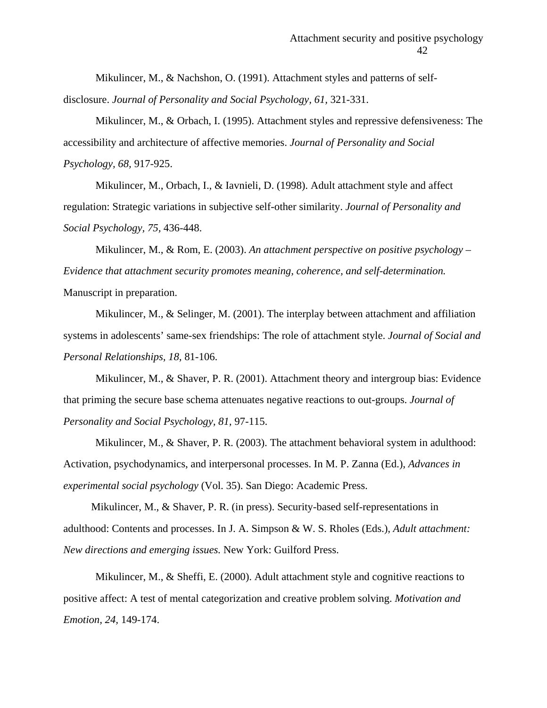Mikulincer, M., & Nachshon, O. (1991). Attachment styles and patterns of selfdisclosure. *Journal of Personality and Social Psychology, 61,* 321-331.

Mikulincer, M., & Orbach, I. (1995). Attachment styles and repressive defensiveness: The accessibility and architecture of affective memories. *Journal of Personality and Social Psychology, 68,* 917-925.

Mikulincer, M., Orbach, I., & Iavnieli, D. (1998). Adult attachment style and affect regulation: Strategic variations in subjective self-other similarity. *Journal of Personality and Social Psychology, 75,* 436-448.

Mikulincer, M., & Rom, E. (2003). *An attachment perspective on positive psychology – Evidence that attachment security promotes meaning, coherence, and self-determination.*  Manuscript in preparation.

Mikulincer, M., & Selinger, M. (2001). The interplay between attachment and affiliation systems in adolescents' same-sex friendships: The role of attachment style. *Journal of Social and Personal Relationships, 18,* 81-106.

Mikulincer, M., & Shaver, P. R. (2001). Attachment theory and intergroup bias: Evidence that priming the secure base schema attenuates negative reactions to out-groups. *Journal of Personality and Social Psychology, 81,* 97-115.

Mikulincer, M., & Shaver, P. R. (2003). The attachment behavioral system in adulthood: Activation, psychodynamics, and interpersonal processes. In M. P. Zanna (Ed.), *Advances in experimental social psychology* (Vol. 35). San Diego: Academic Press.

Mikulincer, M., & Shaver, P. R. (in press). Security-based self-representations in adulthood: Contents and processes. In J. A. Simpson & W. S. Rholes (Eds.), *Adult attachment: New directions and emerging issues.* New York: Guilford Press.

Mikulincer, M., & Sheffi, E. (2000). Adult attachment style and cognitive reactions to positive affect: A test of mental categorization and creative problem solving. *Motivation and Emotion, 24,* 149-174.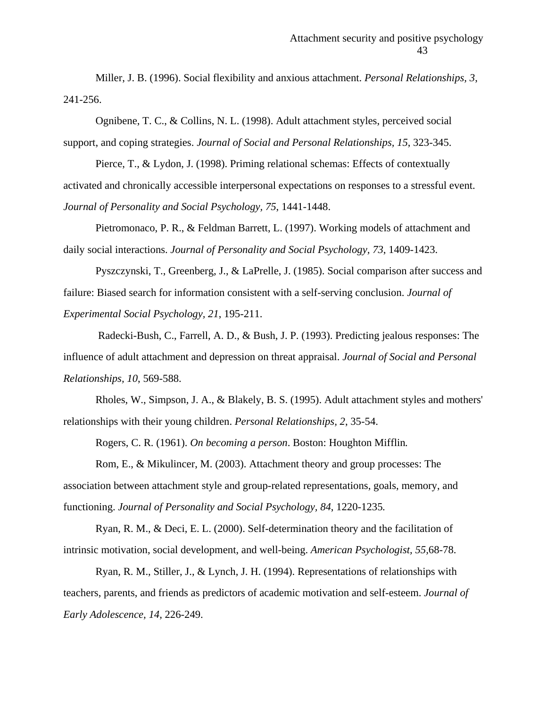Miller, J. B. (1996). Social flexibility and anxious attachment. *Personal Relationships, 3*, 241-256.

Ognibene, T. C., & Collins, N. L. (1998). Adult attachment styles, perceived social support, and coping strategies. *Journal of Social and Personal Relationships, 15*, 323-345.

Pierce, T., & Lydon, J. (1998). Priming relational schemas: Effects of contextually activated and chronically accessible interpersonal expectations on responses to a stressful event. *Journal of Personality and Social Psychology, 75*, 1441-1448.

Pietromonaco, P. R., & Feldman Barrett, L. (1997). Working models of attachment and daily social interactions. *Journal of Personality and Social Psychology, 73*, 1409-1423.

Pyszczynski, T., Greenberg, J., & LaPrelle, J. (1985). Social comparison after success and failure: Biased search for information consistent with a self-serving conclusion. *Journal of Experimental Social Psychology, 21*, 195-211.

 Radecki-Bush, C., Farrell, A. D., & Bush, J. P. (1993). Predicting jealous responses: The influence of adult attachment and depression on threat appraisal. *Journal of Social and Personal Relationships, 10*, 569-588.

Rholes, W., Simpson, J. A., & Blakely, B. S. (1995). Adult attachment styles and mothers' relationships with their young children. *Personal Relationships, 2*, 35-54.

Rogers, C. R. (1961). *On becoming a person*. Boston: Houghton Mifflin*.* 

Rom, E., & Mikulincer, M. (2003). Attachment theory and group processes: The association between attachment style and group-related representations, goals, memory, and functioning. *Journal of Personality and Social Psychology, 84*, 1220-1235*.*

Ryan, R. M., & Deci, E. L. (2000). Self-determination theory and the facilitation of intrinsic motivation, social development, and well-being. *American Psychologist, 55,*68-78.

Ryan, R. M., Stiller, J., & Lynch, J. H. (1994). Representations of relationships with teachers, parents, and friends as predictors of academic motivation and self-esteem. *Journal of Early Adolescence, 14,* 226-249.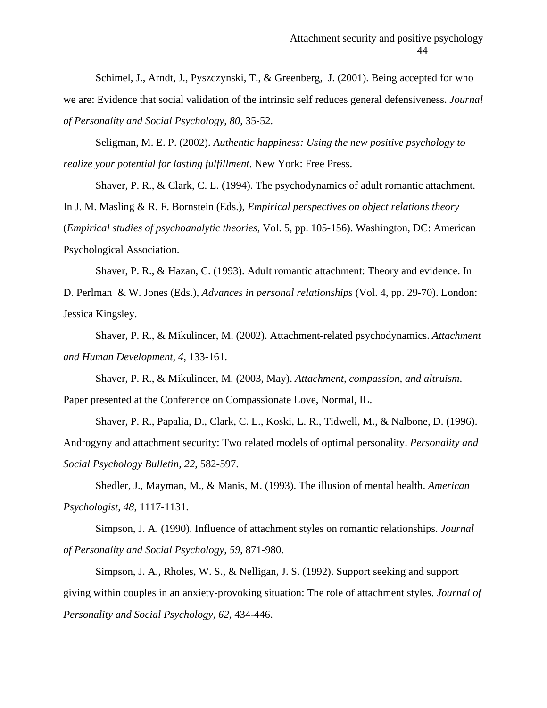Schimel, J., Arndt, J., Pyszczynski, T., & Greenberg, J. (2001). Being accepted for who we are: Evidence that social validation of the intrinsic self reduces general defensiveness. *Journal of Personality and Social Psychology, 80,* 35-52*.*

Seligman, M. E. P. (2002). *Authentic happiness: Using the new positive psychology to realize your potential for lasting fulfillment*. New York: Free Press.

Shaver, P. R., & Clark, C. L. (1994). The psychodynamics of adult romantic attachment. In J. M. Masling & R. F. Bornstein (Eds.), *Empirical perspectives on object relations theory*  (*Empirical studies of psychoanalytic theories,* Vol. 5, pp. 105-156). Washington, DC: American Psychological Association.

Shaver, P. R., & Hazan, C. (1993). Adult romantic attachment: Theory and evidence. In D. Perlman & W. Jones (Eds.), *Advances in personal relationships* (Vol. 4, pp. 29-70). London: Jessica Kingsley.

Shaver, P. R., & Mikulincer, M. (2002). Attachment-related psychodynamics. *Attachment and Human Development, 4,* 133-161.

Shaver, P. R., & Mikulincer, M. (2003, May). *Attachment, compassion, and altruism*. Paper presented at the Conference on Compassionate Love, Normal, IL.

Shaver, P. R., Papalia, D., Clark, C. L., Koski, L. R., Tidwell, M., & Nalbone, D. (1996). Androgyny and attachment security: Two related models of optimal personality. *Personality and Social Psychology Bulletin, 22,* 582-597.

Shedler, J., Mayman, M., & Manis, M. (1993). The illusion of mental health. *American Psychologist, 48*, 1117-1131.

Simpson, J. A. (1990). Influence of attachment styles on romantic relationships. *Journal of Personality and Social Psychology, 59*, 871-980.

Simpson, J. A., Rholes, W. S., & Nelligan, J. S. (1992). Support seeking and support giving within couples in an anxiety-provoking situation: The role of attachment styles. *Journal of Personality and Social Psychology, 62*, 434-446.